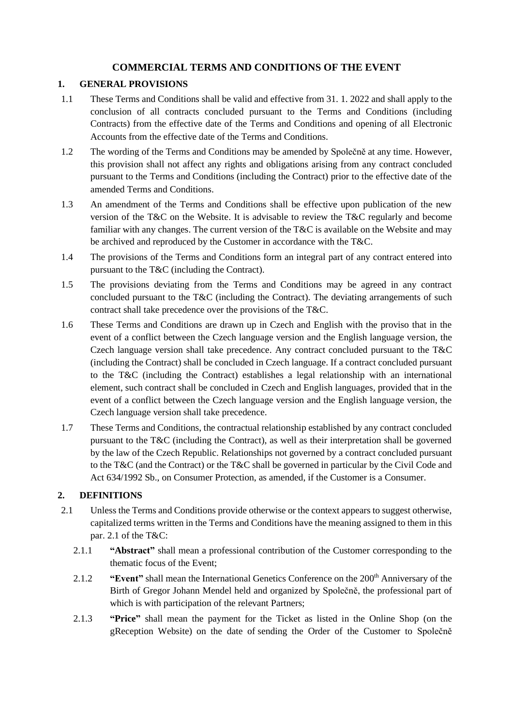# **COMMERCIAL TERMS AND CONDITIONS OF THE EVENT**

#### **1. GENERAL PROVISIONS**

- 1.1 These Terms and Conditions shall be valid and effective from 31. 1. 2022 and shall apply to the conclusion of all contracts concluded pursuant to the Terms and Conditions (including Contracts) from the effective date of the Terms and Conditions and opening of all Electronic Accounts from the effective date of the Terms and Conditions.
- 1.2 The wording of the Terms and Conditions may be amended by Společně at any time. However, this provision shall not affect any rights and obligations arising from any contract concluded pursuant to the Terms and Conditions (including the Contract) prior to the effective date of the amended Terms and Conditions.
- 1.3 An amendment of the Terms and Conditions shall be effective upon publication of the new version of the T&C on the Website. It is advisable to review the T&C regularly and become familiar with any changes. The current version of the T&C is available on the Website and may be archived and reproduced by the Customer in accordance with the T&C.
- 1.4 The provisions of the Terms and Conditions form an integral part of any contract entered into pursuant to the T&C (including the Contract).
- 1.5 The provisions deviating from the Terms and Conditions may be agreed in any contract concluded pursuant to the T&C (including the Contract). The deviating arrangements of such contract shall take precedence over the provisions of the T&C.
- 1.6 These Terms and Conditions are drawn up in Czech and English with the proviso that in the event of a conflict between the Czech language version and the English language version, the Czech language version shall take precedence. Any contract concluded pursuant to the T&C (including the Contract) shall be concluded in Czech language. If a contract concluded pursuant to the T&C (including the Contract) establishes a legal relationship with an international element, such contract shall be concluded in Czech and English languages, provided that in the event of a conflict between the Czech language version and the English language version, the Czech language version shall take precedence.
- 1.7 These Terms and Conditions, the contractual relationship established by any contract concluded pursuant to the T&C (including the Contract), as well as their interpretation shall be governed by the law of the Czech Republic. Relationships not governed by a contract concluded pursuant to the T&C (and the Contract) or the T&C shall be governed in particular by the Civil Code and Act 634/1992 Sb., on Consumer Protection, as amended, if the Customer is a Consumer.

## **2. DEFINITIONS**

- 2.1 Unless the Terms and Conditions provide otherwise or the context appears to suggest otherwise, capitalized terms written in the Terms and Conditions have the meaning assigned to them in this par. 2.1 of the T&C:
	- 2.1.1 **"Abstract"** shall mean a professional contribution of the Customer corresponding to the thematic focus of the Event;
	- 2.1.2 **"Event"** shall mean the International Genetics Conference on the 200<sup>th</sup> Anniversary of the Birth of Gregor Johann Mendel held and organized by Společně, the professional part of which is with participation of the relevant Partners;
	- 2.1.3 **"Price"** shall mean the payment for the Ticket as listed in the Online Shop (on the gReception Website) on the date of sending the Order of the Customer to Společně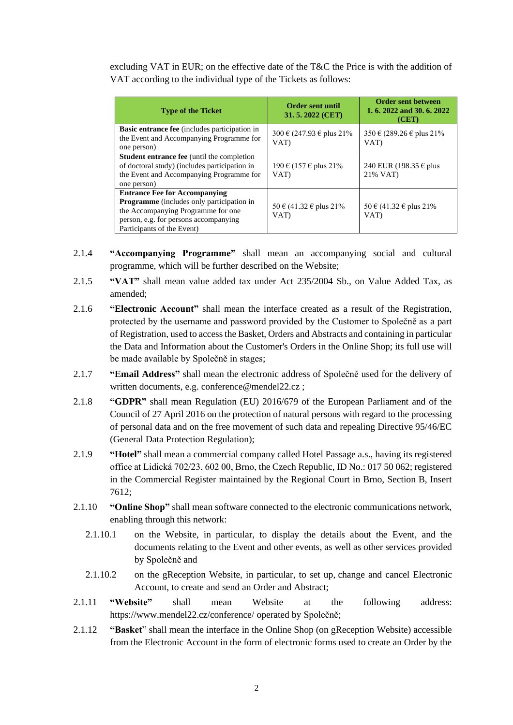excluding VAT in EUR; on the effective date of the T&C the Price is with the addition of VAT according to the individual type of the Tickets as follows:

| <b>Type of the Ticket</b>                                                                                                                                                                      | <b>Order sent until</b><br>31.5.2022 (CET) | <b>Order sent between</b><br>1, 6, 2022 and 30, 6, 2022<br>(CET) |
|------------------------------------------------------------------------------------------------------------------------------------------------------------------------------------------------|--------------------------------------------|------------------------------------------------------------------|
| <b>Basic entrance fee</b> (includes participation in<br>the Event and Accompanying Programme for<br>one person)                                                                                | 300 € (247.93 € plus 21%)<br>VAT)          | 350 € (289.26 € plus 21%)<br>VAT)                                |
| <b>Student entrance fee</b> (until the completion<br>of doctoral study) (includes participation in<br>the Event and Accompanying Programme for<br>one person)                                  | 190 € (157 € plus 21%)<br>VAT)             | 240 EUR (198.35 € plus<br>21% VAT)                               |
| <b>Entrance Fee for Accompanying</b><br>Programme (includes only participation in<br>the Accompanying Programme for one<br>person, e.g. for persons accompanying<br>Participants of the Event) | 50 € (41.32 € plus 21%)<br>VAT)            | 50 € (41.32 € plus 21%)<br>VAT)                                  |

- 2.1.4 **"Accompanying Programme"** shall mean an accompanying social and cultural programme, which will be further described on the Website;
- 2.1.5 **"VAT"** shall mean value added tax under Act 235/2004 Sb., on Value Added Tax, as amended;
- 2.1.6 **"Electronic Account"** shall mean the interface created as a result of the Registration, protected by the username and password provided by the Customer to Společně as a part of Registration, used to access the Basket, Orders and Abstracts and containing in particular the Data and Information about the Customer's Orders in the Online Shop; its full use will be made available by Společně in stages;
- 2.1.7 **"Email Address"** shall mean the electronic address of Společně used for the delivery of written documents, e.g. conference@mendel22.cz;
- 2.1.8 **"GDPR"** shall mean Regulation (EU) 2016/679 of the European Parliament and of the Council of 27 April 2016 on the protection of natural persons with regard to the processing of personal data and on the free movement of such data and repealing Directive 95/46/EC (General Data Protection Regulation);
- 2.1.9 **"Hotel"** shall mean a commercial company called Hotel Passage a.s., having its registered office at Lidická 702/23, 602 00, Brno, the Czech Republic, ID No.: 017 50 062; registered in the Commercial Register maintained by the Regional Court in Brno, Section B, Insert 7612;
- 2.1.10 **"Online Shop"** shall mean software connected to the electronic communications network, enabling through this network:
	- 2.1.10.1 on the Website, in particular, to display the details about the Event, and the documents relating to the Event and other events, as well as other services provided by Společně and
	- 2.1.10.2 on the gReception Website, in particular, to set up, change and cancel Electronic Account, to create and send an Order and Abstract;
- 2.1.11 **"Website"** shall mean Website at the following address: https://www.mendel22.cz/conference/ operated by Společně;
- 2.1.12 **"Basket**" shall mean the interface in the Online Shop (on gReception Website) accessible from the Electronic Account in the form of electronic forms used to create an Order by the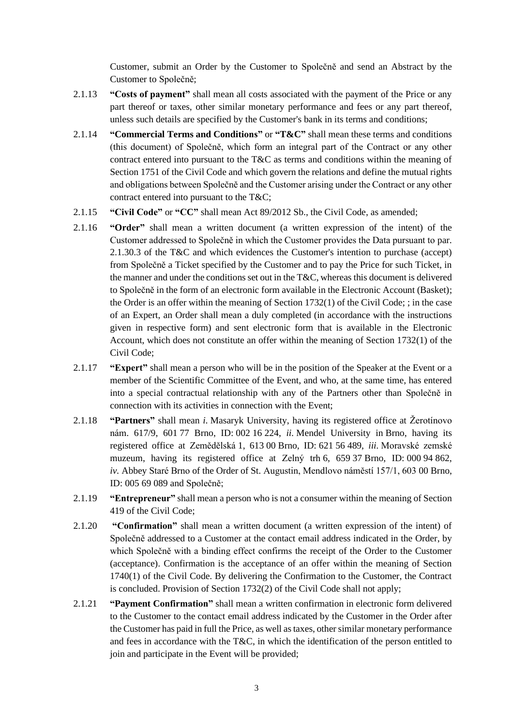Customer, submit an Order by the Customer to Společně and send an Abstract by the Customer to Společně;

- 2.1.13 **"Costs of payment"** shall mean all costs associated with the payment of the Price or any part thereof or taxes, other similar monetary performance and fees or any part thereof, unless such details are specified by the Customer's bank in its terms and conditions;
- 2.1.14 **"Commercial Terms and Conditions"** or **"T&C"** shall mean these terms and conditions (this document) of Společně, which form an integral part of the Contract or any other contract entered into pursuant to the T&C as terms and conditions within the meaning of Section 1751 of the Civil Code and which govern the relations and define the mutual rights and obligations between Společně and the Customer arising under the Contract or any other contract entered into pursuant to the T&C;
- 2.1.15 **"Civil Code"** or **"CC"** shall mean Act 89/2012 Sb., the Civil Code, as amended;
- 2.1.16 **"Order"** shall mean a written document (a written expression of the intent) of the Customer addressed to Společně in which the Customer provides the Data pursuant to par. 2.1.30.3 of the T&C and which evidences the Customer's intention to purchase (accept) from Společně a Ticket specified by the Customer and to pay the Price for such Ticket, in the manner and under the conditions set out in the T&C, whereas this document is delivered to Společně in the form of an electronic form available in the Electronic Account (Basket); the Order is an offer within the meaning of Section 1732(1) of the Civil Code; ; in the case of an Expert, an Order shall mean a duly completed (in accordance with the instructions given in respective form) and sent electronic form that is available in the Electronic Account, which does not constitute an offer within the meaning of Section 1732(1) of the Civil Code;
- 2.1.17 **"Expert"** shall mean a person who will be in the position of the Speaker at the Event or a member of the Scientific Committee of the Event, and who, at the same time, has entered into a special contractual relationship with any of the Partners other than Společně in connection with its activities in connection with the Event;
- 2.1.18 **"Partners"** shall mean *i.* Masaryk University, having its registered office at Žerotínovo nám. 617/9, 601 77 Brno, ID: 002 16 224, *ii.* Mendel University in Brno, having its registered office at Zemědělská 1, 613 00 Brno, ID: 621 56 489, *iii.* Moravské zemské muzeum, having its registered office at Zelný trh 6, 659 37 Brno, ID: 000 94 862, *iv.* Abbey Staré Brno of the Order of St. Augustin, Mendlovo náměstí 157/1, 603 00 Brno, ID: 005 69 089 and Společně;
- 2.1.19 **"Entrepreneur"** shall mean a person who is not a consumer within the meaning of Section 419 of the Civil Code;
- 2.1.20 **"Confirmation"** shall mean a written document (a written expression of the intent) of Společně addressed to a Customer at the contact email address indicated in the Order, by which Společně with a binding effect confirms the receipt of the Order to the Customer (acceptance). Confirmation is the acceptance of an offer within the meaning of Section 1740(1) of the Civil Code. By delivering the Confirmation to the Customer, the Contract is concluded. Provision of Section 1732(2) of the Civil Code shall not apply;
- 2.1.21 **"Payment Confirmation"** shall mean a written confirmation in electronic form delivered to the Customer to the contact email address indicated by the Customer in the Order after the Customer has paid in full the Price, as well as taxes, other similar monetary performance and fees in accordance with the T&C, in which the identification of the person entitled to join and participate in the Event will be provided;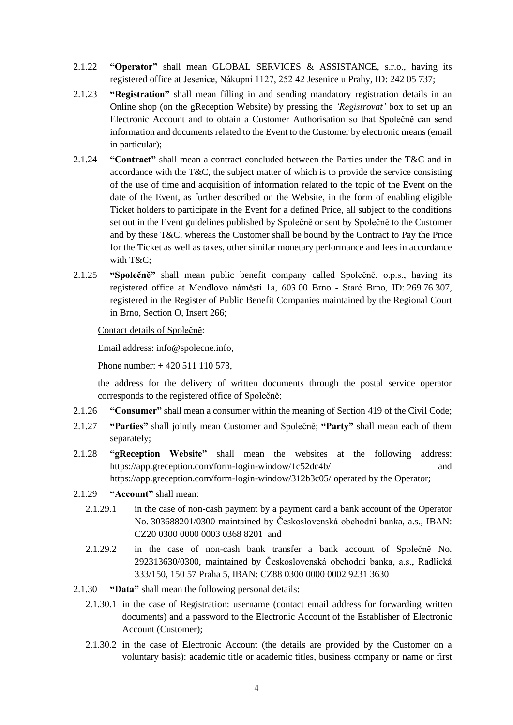- 2.1.22 **"Operator"** shall mean GLOBAL SERVICES & ASSISTANCE, s.r.o., having its registered office at Jesenice, Nákupní 1127, 252 42 Jesenice u Prahy, ID: 242 05 737;
- 2.1.23 **"Registration"** shall mean filling in and sending mandatory registration details in an Online shop (on the gReception Website) by pressing the *'Registrovat'* box to set up an Electronic Account and to obtain a Customer Authorisation so that Společně can send information and documents related to the Event to the Customer by electronic means (email in particular);
- 2.1.24 **"Contract"** shall mean a contract concluded between the Parties under the T&C and in accordance with the T&C, the subject matter of which is to provide the service consisting of the use of time and acquisition of information related to the topic of the Event on the date of the Event, as further described on the Website, in the form of enabling eligible Ticket holders to participate in the Event for a defined Price, all subject to the conditions set out in the Event guidelines published by Společně or sent by Společně to the Customer and by these T&C, whereas the Customer shall be bound by the Contract to Pay the Price for the Ticket as well as taxes, other similar monetary performance and fees in accordance with T&C;
- 2.1.25 **"Společně"** shall mean public benefit company called Společně, o.p.s., having its registered office at Mendlovo náměstí 1a, 603 00 Brno - Staré Brno, ID: 269 76 307, registered in the Register of Public Benefit Companies maintained by the Regional Court in Brno, Section O, Insert 266;

#### Contact details of Společně:

Email address: info@spolecne.info,

Phone number: + 420 511 110 573,

the address for the delivery of written documents through the postal service operator corresponds to the registered office of Společně;

- 2.1.26 **"Consumer"** shall mean a consumer within the meaning of Section 419 of the Civil Code;
- 2.1.27 **"Parties"** shall jointly mean Customer and Společně; **"Party"** shall mean each of them separately;
- 2.1.28 **"gReception Website"** shall mean the websites at the following address: https://app.greception.com/form-login-window/1c52dc4b/ and https://app.greception.com/form-login-window/312b3c05/ operated by the Operator;
- 2.1.29 **"Account"** shall mean:
	- 2.1.29.1 in the case of non-cash payment by a payment card a bank account of the Operator No. 303688201/0300 maintained by Československá obchodní banka, a.s., IBAN: CZ20 0300 0000 0003 0368 8201 and
	- 2.1.29.2 in the case of non-cash bank transfer a bank account of Společně No. 292313630/0300, maintained by Československá obchodní banka, a.s., Radlická 333/150, 150 57 Praha 5, IBAN: CZ88 0300 0000 0002 9231 3630
- 2.1.30 **"Data"** shall mean the following personal details:
	- 2.1.30.1 in the case of Registration: username (contact email address for forwarding written documents) and a password to the Electronic Account of the Establisher of Electronic Account (Customer);
	- 2.1.30.2 in the case of Electronic Account (the details are provided by the Customer on a voluntary basis): academic title or academic titles, business company or name or first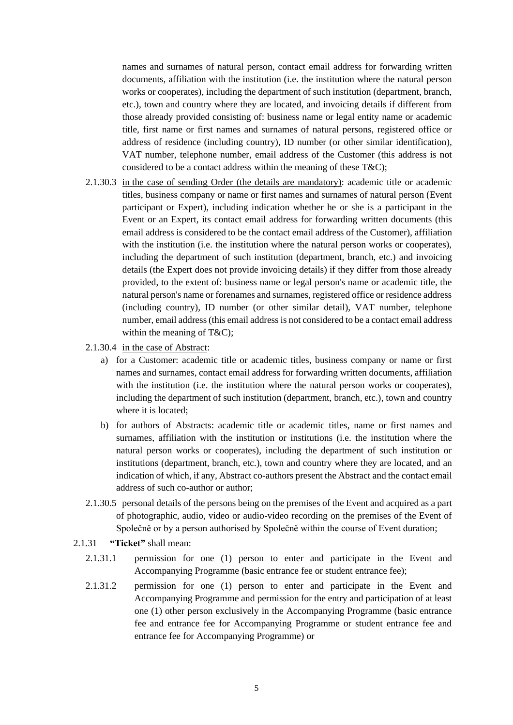names and surnames of natural person, contact email address for forwarding written documents, affiliation with the institution (i.e. the institution where the natural person works or cooperates), including the department of such institution (department, branch, etc.), town and country where they are located, and invoicing details if different from those already provided consisting of: business name or legal entity name or academic title, first name or first names and surnames of natural persons, registered office or address of residence (including country), ID number (or other similar identification), VAT number, telephone number, email address of the Customer (this address is not considered to be a contact address within the meaning of these T&C);

- 2.1.30.3 in the case of sending Order (the details are mandatory): academic title or academic titles, business company or name or first names and surnames of natural person (Event participant or Expert), including indication whether he or she is a participant in the Event or an Expert, its contact email address for forwarding written documents (this email address is considered to be the contact email address of the Customer), affiliation with the institution (i.e. the institution where the natural person works or cooperates), including the department of such institution (department, branch, etc.) and invoicing details (the Expert does not provide invoicing details) if they differ from those already provided, to the extent of: business name or legal person's name or academic title, the natural person's name or forenames and surnames, registered office or residence address (including country), ID number (or other similar detail), VAT number, telephone number, email address (this email address is not considered to be a contact email address within the meaning of T&C);
- 2.1.30.4 in the case of Abstract:
	- a) for a Customer: academic title or academic titles, business company or name or first names and surnames, contact email address for forwarding written documents, affiliation with the institution (i.e. the institution where the natural person works or cooperates), including the department of such institution (department, branch, etc.), town and country where it is located;
	- b) for authors of Abstracts: academic title or academic titles, name or first names and surnames, affiliation with the institution or institutions (i.e. the institution where the natural person works or cooperates), including the department of such institution or institutions (department, branch, etc.), town and country where they are located, and an indication of which, if any, Abstract co-authors present the Abstract and the contact email address of such co-author or author;
- 2.1.30.5 personal details of the persons being on the premises of the Event and acquired as a part of photographic, audio, video or audio-video recording on the premises of the Event of Společně or by a person authorised by Společně within the course of Event duration;
- 2.1.31 **"Ticket"** shall mean:
	- 2.1.31.1 permission for one (1) person to enter and participate in the Event and Accompanying Programme (basic entrance fee or student entrance fee);
	- 2.1.31.2 permission for one (1) person to enter and participate in the Event and Accompanying Programme and permission for the entry and participation of at least one (1) other person exclusively in the Accompanying Programme (basic entrance fee and entrance fee for Accompanying Programme or student entrance fee and entrance fee for Accompanying Programme) or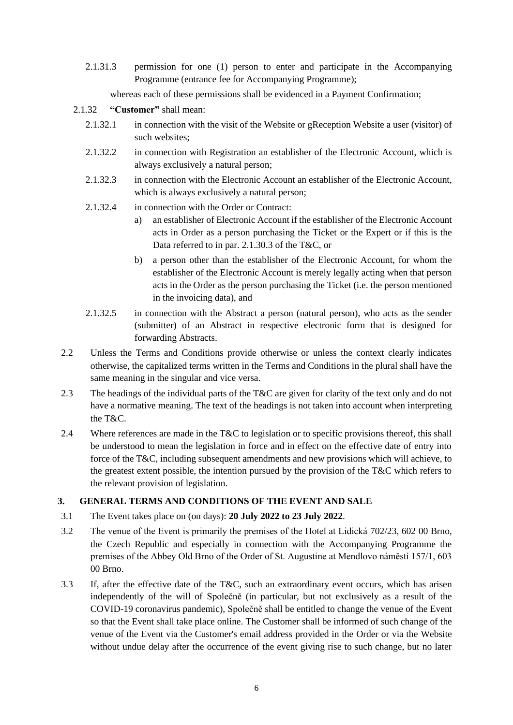2.1.31.3 permission for one (1) person to enter and participate in the Accompanying Programme (entrance fee for Accompanying Programme);

whereas each of these permissions shall be evidenced in a Payment Confirmation;

## 2.1.32 **"Customer"** shall mean:

- 2.1.32.1 in connection with the visit of the Website or gReception Website a user (visitor) of such websites;
- 2.1.32.2 in connection with Registration an establisher of the Electronic Account, which is always exclusively a natural person;
- 2.1.32.3 in connection with the Electronic Account an establisher of the Electronic Account, which is always exclusively a natural person;
- 2.1.32.4 in connection with the Order or Contract:
	- a) an establisher of Electronic Account if the establisher of the Electronic Account acts in Order as a person purchasing the Ticket or the Expert or if this is the Data referred to in par. 2.1.30.3 of the T&C, or
	- b) a person other than the establisher of the Electronic Account, for whom the establisher of the Electronic Account is merely legally acting when that person acts in the Order as the person purchasing the Ticket (i.e. the person mentioned in the invoicing data), and
- 2.1.32.5 in connection with the Abstract a person (natural person), who acts as the sender (submitter) of an Abstract in respective electronic form that is designed for forwarding Abstracts.
- 2.2 Unless the Terms and Conditions provide otherwise or unless the context clearly indicates otherwise, the capitalized terms written in the Terms and Conditions in the plural shall have the same meaning in the singular and vice versa.
- 2.3 The headings of the individual parts of the T&C are given for clarity of the text only and do not have a normative meaning. The text of the headings is not taken into account when interpreting the T&C.
- 2.4 Where references are made in the T&C to legislation or to specific provisions thereof, this shall be understood to mean the legislation in force and in effect on the effective date of entry into force of the T&C, including subsequent amendments and new provisions which will achieve, to the greatest extent possible, the intention pursued by the provision of the T&C which refers to the relevant provision of legislation.

# **3. GENERAL TERMS AND CONDITIONS OF THE EVENT AND SALE**

- 3.1 The Event takes place on (on days): **20 July 2022 to 23 July 2022**.
- 3.2 The venue of the Event is primarily the premises of the Hotel at Lidická 702/23, 602 00 Brno, the Czech Republic and especially in connection with the Accompanying Programme the premises of the Abbey Old Brno of the Order of St. Augustine at Mendlovo náměstí 157/1, 603 00 Brno.
- 3.3 If, after the effective date of the T&C, such an extraordinary event occurs, which has arisen independently of the will of Společně (in particular, but not exclusively as a result of the COVID-19 coronavirus pandemic), Společně shall be entitled to change the venue of the Event so that the Event shall take place online. The Customer shall be informed of such change of the venue of the Event via the Customer's email address provided in the Order or via the Website without undue delay after the occurrence of the event giving rise to such change, but no later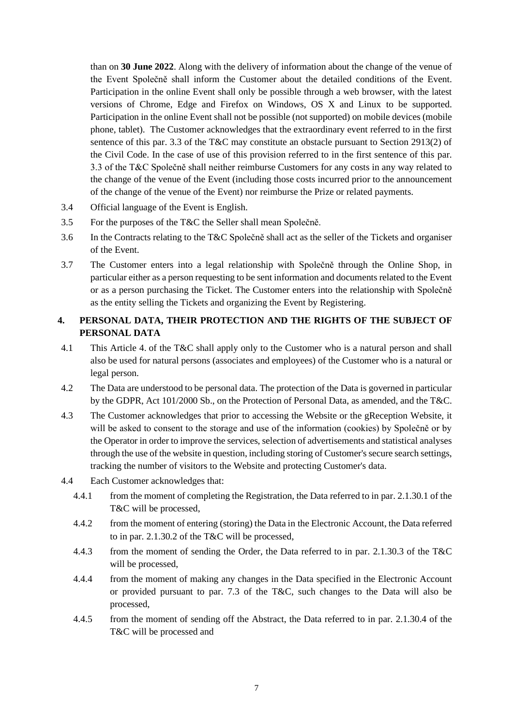than on **30 June 2022**. Along with the delivery of information about the change of the venue of the Event Společně shall inform the Customer about the detailed conditions of the Event. Participation in the online Event shall only be possible through a web browser, with the latest versions of Chrome, Edge and Firefox on Windows, OS X and Linux to be supported. Participation in the online Event shall not be possible (not supported) on mobile devices (mobile phone, tablet). The Customer acknowledges that the extraordinary event referred to in the first sentence of this par. 3.3 of the T&C may constitute an obstacle pursuant to Section 2913(2) of the Civil Code. In the case of use of this provision referred to in the first sentence of this par. 3.3 of the T&C Společně shall neither reimburse Customers for any costs in any way related to the change of the venue of the Event (including those costs incurred prior to the announcement of the change of the venue of the Event) nor reimburse the Prize or related payments.

- 3.4 Official language of the Event is English.
- 3.5 For the purposes of the T&C the Seller shall mean Společně.
- 3.6 In the Contracts relating to the T&C Společně shall act as the seller of the Tickets and organiser of the Event.
- 3.7 The Customer enters into a legal relationship with Společně through the Online Shop, in particular either as a person requesting to be sent information and documents related to the Event or as a person purchasing the Ticket. The Customer enters into the relationship with Společně as the entity selling the Tickets and organizing the Event by Registering.

# **4. PERSONAL DATA, THEIR PROTECTION AND THE RIGHTS OF THE SUBJECT OF PERSONAL DATA**

- 4.1 This Article 4. of the T&C shall apply only to the Customer who is a natural person and shall also be used for natural persons (associates and employees) of the Customer who is a natural or legal person.
- 4.2 The Data are understood to be personal data. The protection of the Data is governed in particular by the GDPR, Act 101/2000 Sb., on the Protection of Personal Data, as amended, and the T&C.
- 4.3 The Customer acknowledges that prior to accessing the Website or the gReception Website, it will be asked to consent to the storage and use of the information (cookies) by Společně or by the Operator in order to improve the services, selection of advertisements and statistical analyses through the use of the website in question, including storing of Customer's secure search settings, tracking the number of visitors to the Website and protecting Customer's data.
- 4.4 Each Customer acknowledges that:
	- 4.4.1 from the moment of completing the Registration, the Data referred to in par. 2.1.30.1 of the T&C will be processed,
	- 4.4.2 from the moment of entering (storing) the Data in the Electronic Account, the Data referred to in par. 2.1.30.2 of the T&C will be processed,
	- 4.4.3 from the moment of sending the Order, the Data referred to in par. 2.1.30.3 of the T&C will be processed,
	- 4.4.4 from the moment of making any changes in the Data specified in the Electronic Account or provided pursuant to par. 7.3 of the T&C, such changes to the Data will also be processed,
	- 4.4.5 from the moment of sending off the Abstract, the Data referred to in par. 2.1.30.4 of the T&C will be processed and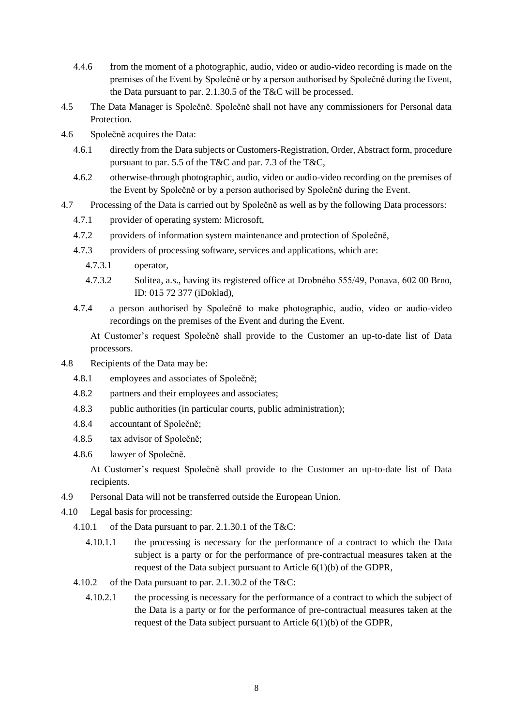- 4.4.6 from the moment of a photographic, audio, video or audio-video recording is made on the premises of the Event by Společně or by a person authorised by Společně during the Event, the Data pursuant to par. 2.1.30.5 of the T&C will be processed.
- 4.5 The Data Manager is Společně. Společně shall not have any commissioners for Personal data Protection.
- 4.6 Společně acquires the Data:
	- 4.6.1 directly from the Data subjects or Customers-Registration, Order, Abstract form, procedure pursuant to par. 5.5 of the T&C and par. 7.3 of the T&C,
	- 4.6.2 otherwise-through photographic, audio, video or audio-video recording on the premises of the Event by Společně or by a person authorised by Společně during the Event.
- 4.7 Processing of the Data is carried out by Společně as well as by the following Data processors:
	- 4.7.1 provider of operating system: Microsoft,
	- 4.7.2 providers of information system maintenance and protection of Společně,
	- 4.7.3 providers of processing software, services and applications, which are:
		- 4.7.3.1 operator,
		- 4.7.3.2 Solitea, a.s., having its registered office at Drobného 555/49, Ponava, 602 00 Brno, ID: 015 72 377 (iDoklad),
	- 4.7.4 a person authorised by Společně to make photographic, audio, video or audio-video recordings on the premises of the Event and during the Event.

At Customer's request Společně shall provide to the Customer an up-to-date list of Data processors.

- 4.8 Recipients of the Data may be:
	- 4.8.1 employees and associates of Společně;
	- 4.8.2 partners and their employees and associates;
	- 4.8.3 public authorities (in particular courts, public administration);
	- 4.8.4 accountant of Společně;
	- 4.8.5 tax advisor of Společně;
	- 4.8.6 lawyer of Společně.

At Customer's request Společně shall provide to the Customer an up-to-date list of Data recipients.

- 4.9 Personal Data will not be transferred outside the European Union.
- 4.10 Legal basis for processing:
	- 4.10.1 of the Data pursuant to par. 2.1.30.1 of the T&C:
		- 4.10.1.1 the processing is necessary for the performance of a contract to which the Data subject is a party or for the performance of pre-contractual measures taken at the request of the Data subject pursuant to Article 6(1)(b) of the GDPR,
	- 4.10.2 of the Data pursuant to par. 2.1.30.2 of the T&C:
		- 4.10.2.1 the processing is necessary for the performance of a contract to which the subject of the Data is a party or for the performance of pre-contractual measures taken at the request of the Data subject pursuant to Article 6(1)(b) of the GDPR,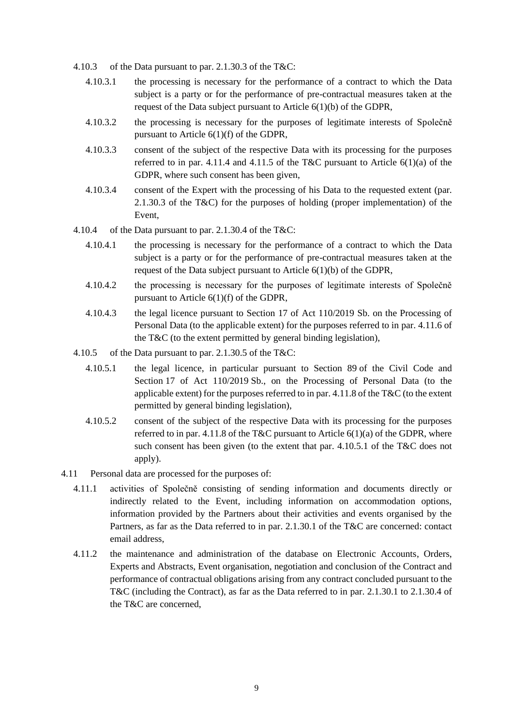- 4.10.3 of the Data pursuant to par. 2.1.30.3 of the T&C:
	- 4.10.3.1 the processing is necessary for the performance of a contract to which the Data subject is a party or for the performance of pre-contractual measures taken at the request of the Data subject pursuant to Article 6(1)(b) of the GDPR,
	- 4.10.3.2 the processing is necessary for the purposes of legitimate interests of Společně pursuant to Article 6(1)(f) of the GDPR,
	- 4.10.3.3 consent of the subject of the respective Data with its processing for the purposes referred to in par. 4.11.4 and 4.11.5 of the T&C pursuant to Article  $6(1)(a)$  of the GDPR, where such consent has been given,
	- 4.10.3.4 consent of the Expert with the processing of his Data to the requested extent (par. 2.1.30.3 of the T&C) for the purposes of holding (proper implementation) of the Event,
- 4.10.4 of the Data pursuant to par. 2.1.30.4 of the T&C:
	- 4.10.4.1 the processing is necessary for the performance of a contract to which the Data subject is a party or for the performance of pre-contractual measures taken at the request of the Data subject pursuant to Article 6(1)(b) of the GDPR,
	- 4.10.4.2 the processing is necessary for the purposes of legitimate interests of Společně pursuant to Article 6(1)(f) of the GDPR,
	- 4.10.4.3 the legal licence pursuant to Section 17 of Act 110/2019 Sb. on the Processing of Personal Data (to the applicable extent) for the purposes referred to in par. 4.11.6 of the T&C (to the extent permitted by general binding legislation),
- 4.10.5 of the Data pursuant to par. 2.1.30.5 of the T&C:
	- 4.10.5.1 the legal licence, in particular pursuant to Section 89 of the Civil Code and Section 17 of Act 110/2019 Sb., on the Processing of Personal Data (to the applicable extent) for the purposes referred to in par. 4.11.8 of the T&C (to the extent permitted by general binding legislation),
	- 4.10.5.2 consent of the subject of the respective Data with its processing for the purposes referred to in par. 4.11.8 of the T&C pursuant to Article  $6(1)(a)$  of the GDPR, where such consent has been given (to the extent that par. 4.10.5.1 of the T&C does not apply).
- 4.11 Personal data are processed for the purposes of:
	- 4.11.1 activities of Společně consisting of sending information and documents directly or indirectly related to the Event, including information on accommodation options, information provided by the Partners about their activities and events organised by the Partners, as far as the Data referred to in par. 2.1.30.1 of the T&C are concerned: contact email address,
	- 4.11.2 the maintenance and administration of the database on Electronic Accounts, Orders, Experts and Abstracts, Event organisation, negotiation and conclusion of the Contract and performance of contractual obligations arising from any contract concluded pursuant to the T&C (including the Contract), as far as the Data referred to in par. 2.1.30.1 to 2.1.30.4 of the T&C are concerned,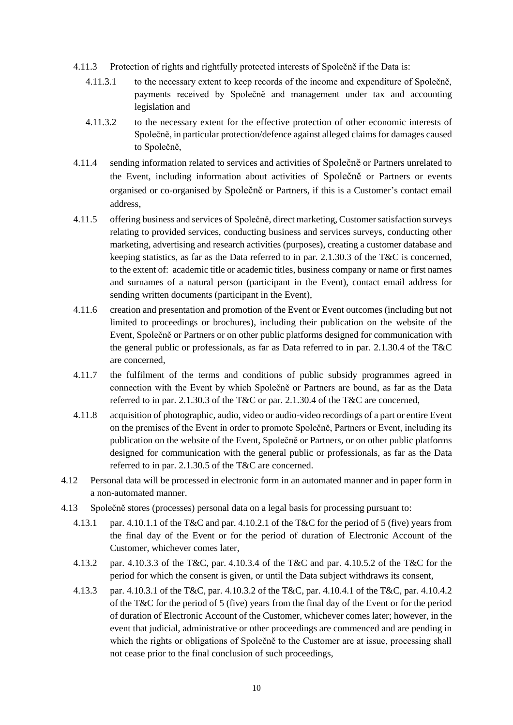- 4.11.3 Protection of rights and rightfully protected interests of Společně if the Data is:
	- 4.11.3.1 to the necessary extent to keep records of the income and expenditure of Společně, payments received by Společně and management under tax and accounting legislation and
	- 4.11.3.2 to the necessary extent for the effective protection of other economic interests of Společně, in particular protection/defence against alleged claims for damages caused to Společně,
- 4.11.4 sending information related to services and activities of Společně or Partners unrelated to the Event, including information about activities of Společně or Partners or events organised or co-organised by Společně or Partners, if this is a Customer's contact email address,
- 4.11.5 offering business and services of Společně, direct marketing, Customer satisfaction surveys relating to provided services, conducting business and services surveys, conducting other marketing, advertising and research activities (purposes), creating a customer database and keeping statistics, as far as the Data referred to in par. 2.1.30.3 of the T&C is concerned, to the extent of: academic title or academic titles, business company or name or first names and surnames of a natural person (participant in the Event), contact email address for sending written documents (participant in the Event),
- 4.11.6 creation and presentation and promotion of the Event or Event outcomes (including but not limited to proceedings or brochures), including their publication on the website of the Event, Společně or Partners or on other public platforms designed for communication with the general public or professionals, as far as Data referred to in par. 2.1.30.4 of the T&C are concerned,
- 4.11.7 the fulfilment of the terms and conditions of public subsidy programmes agreed in connection with the Event by which Společně or Partners are bound, as far as the Data referred to in par. 2.1.30.3 of the T&C or par. 2.1.30.4 of the T&C are concerned,
- 4.11.8 acquisition of photographic, audio, video or audio-video recordings of a part or entire Event on the premises of the Event in order to promote Společně, Partners or Event, including its publication on the website of the Event, Společně or Partners, or on other public platforms designed for communication with the general public or professionals, as far as the Data referred to in par. 2.1.30.5 of the T&C are concerned.
- 4.12 Personal data will be processed in electronic form in an automated manner and in paper form in a non-automated manner.
- 4.13 Společně stores (processes) personal data on a legal basis for processing pursuant to:
	- 4.13.1 par. 4.10.1.1 of the T&C and par. 4.10.2.1 of the T&C for the period of 5 (five) years from the final day of the Event or for the period of duration of Electronic Account of the Customer, whichever comes later,
	- 4.13.2 par. 4.10.3.3 of the T&C, par. 4.10.3.4 of the T&C and par. 4.10.5.2 of the T&C for the period for which the consent is given, or until the Data subject withdraws its consent,
	- 4.13.3 par. 4.10.3.1 of the T&C, par. 4.10.3.2 of the T&C, par. 4.10.4.1 of the T&C, par. 4.10.4.2 of the T&C for the period of 5 (five) years from the final day of the Event or for the period of duration of Electronic Account of the Customer, whichever comes later; however, in the event that judicial, administrative or other proceedings are commenced and are pending in which the rights or obligations of Společně to the Customer are at issue, processing shall not cease prior to the final conclusion of such proceedings,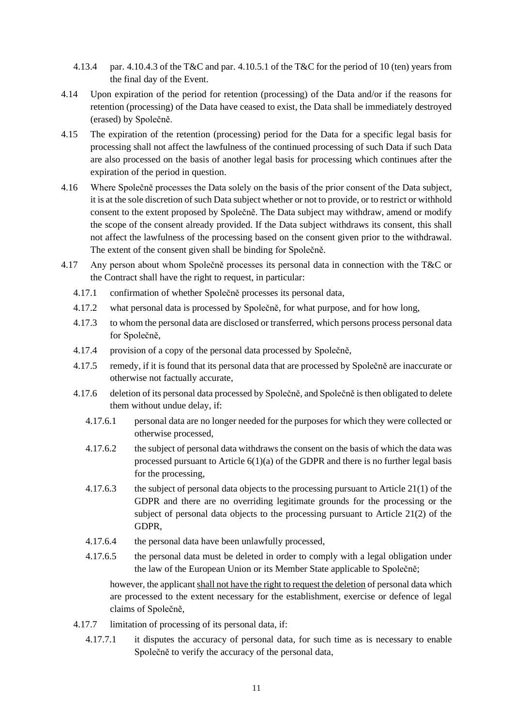- 4.13.4 par. 4.10.4.3 of the T&C and par. 4.10.5.1 of the T&C for the period of 10 (ten) years from the final day of the Event.
- 4.14 Upon expiration of the period for retention (processing) of the Data and/or if the reasons for retention (processing) of the Data have ceased to exist, the Data shall be immediately destroyed (erased) by Společně.
- 4.15 The expiration of the retention (processing) period for the Data for a specific legal basis for processing shall not affect the lawfulness of the continued processing of such Data if such Data are also processed on the basis of another legal basis for processing which continues after the expiration of the period in question.
- 4.16 Where Společně processes the Data solely on the basis of the prior consent of the Data subject, it is at the sole discretion of such Data subject whether or not to provide, or to restrict or withhold consent to the extent proposed by Společně. The Data subject may withdraw, amend or modify the scope of the consent already provided. If the Data subject withdraws its consent, this shall not affect the lawfulness of the processing based on the consent given prior to the withdrawal. The extent of the consent given shall be binding for Společně.
- 4.17 Any person about whom Společně processes its personal data in connection with the T&C or the Contract shall have the right to request, in particular:
	- 4.17.1 confirmation of whether Společně processes its personal data,
	- 4.17.2 what personal data is processed by Společně, for what purpose, and for how long,
	- 4.17.3 to whom the personal data are disclosed or transferred, which persons process personal data for Společně,
	- 4.17.4 provision of a copy of the personal data processed by Společně,
	- 4.17.5 remedy, if it is found that its personal data that are processed by Společně are inaccurate or otherwise not factually accurate,
	- 4.17.6 deletion of its personal data processed by Společně, and Společně is then obligated to delete them without undue delay, if:
		- 4.17.6.1 personal data are no longer needed for the purposes for which they were collected or otherwise processed,
		- 4.17.6.2 the subject of personal data withdraws the consent on the basis of which the data was processed pursuant to Article  $6(1)(a)$  of the GDPR and there is no further legal basis for the processing,
		- 4.17.6.3 the subject of personal data objects to the processing pursuant to Article 21(1) of the GDPR and there are no overriding legitimate grounds for the processing or the subject of personal data objects to the processing pursuant to Article 21(2) of the GDPR,
		- 4.17.6.4 the personal data have been unlawfully processed,
		- 4.17.6.5 the personal data must be deleted in order to comply with a legal obligation under the law of the European Union or its Member State applicable to Společně;

however, the applicant shall not have the right to request the deletion of personal data which are processed to the extent necessary for the establishment, exercise or defence of legal claims of Společně,

- 4.17.7 limitation of processing of its personal data, if:
	- 4.17.7.1 it disputes the accuracy of personal data, for such time as is necessary to enable Společně to verify the accuracy of the personal data,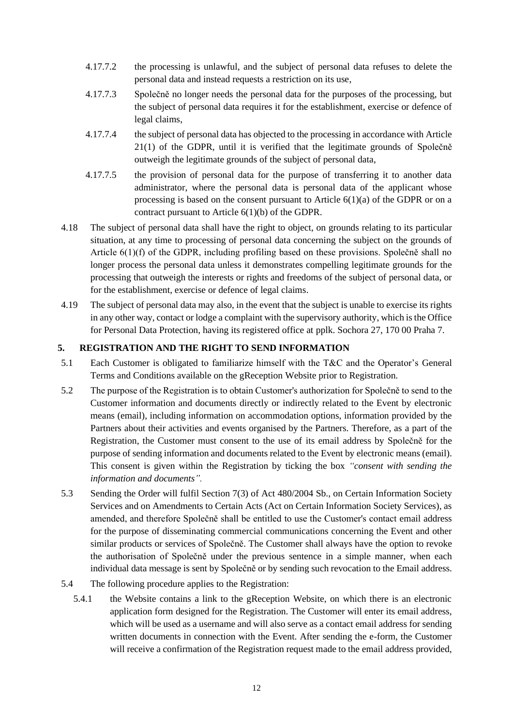- 4.17.7.2 the processing is unlawful, and the subject of personal data refuses to delete the personal data and instead requests a restriction on its use,
- 4.17.7.3 Společně no longer needs the personal data for the purposes of the processing, but the subject of personal data requires it for the establishment, exercise or defence of legal claims,
- 4.17.7.4 the subject of personal data has objected to the processing in accordance with Article 21(1) of the GDPR, until it is verified that the legitimate grounds of Společně outweigh the legitimate grounds of the subject of personal data,
- 4.17.7.5 the provision of personal data for the purpose of transferring it to another data administrator, where the personal data is personal data of the applicant whose processing is based on the consent pursuant to Article 6(1)(a) of the GDPR or on a contract pursuant to Article 6(1)(b) of the GDPR.
- 4.18 The subject of personal data shall have the right to object, on grounds relating to its particular situation, at any time to processing of personal data concerning the subject on the grounds of Article 6(1)(f) of the GDPR, including profiling based on these provisions. Společně shall no longer process the personal data unless it demonstrates compelling legitimate grounds for the processing that outweigh the interests or rights and freedoms of the subject of personal data, or for the establishment, exercise or defence of legal claims.
- 4.19 The subject of personal data may also, in the event that the subject is unable to exercise its rights in any other way, contact or lodge a complaint with the supervisory authority, which is the Office for Personal Data Protection, having its registered office at pplk. Sochora 27, 170 00 Praha 7.

## **5. REGISTRATION AND THE RIGHT TO SEND INFORMATION**

- 5.1 Each Customer is obligated to familiarize himself with the T&C and the Operator's General Terms and Conditions available on the gReception Website prior to Registration.
- 5.2 The purpose of the Registration is to obtain Customer's authorization for Společně to send to the Customer information and documents directly or indirectly related to the Event by electronic means (email), including information on accommodation options, information provided by the Partners about their activities and events organised by the Partners. Therefore, as a part of the Registration, the Customer must consent to the use of its email address by Společně for the purpose of sending information and documents related to the Event by electronic means (email). This consent is given within the Registration by ticking the box *"consent with sending the information and documents".*
- 5.3 Sending the Order will fulfil Section 7(3) of Act 480/2004 Sb., on Certain Information Society Services and on Amendments to Certain Acts (Act on Certain Information Society Services), as amended, and therefore Společně shall be entitled to use the Customer's contact email address for the purpose of disseminating commercial communications concerning the Event and other similar products or services of Společně. The Customer shall always have the option to revoke the authorisation of Společně under the previous sentence in a simple manner, when each individual data message is sent by Společně or by sending such revocation to the Email address.
- 5.4 The following procedure applies to the Registration:
	- 5.4.1 the Website contains a link to the gReception Website, on which there is an electronic application form designed for the Registration. The Customer will enter its email address, which will be used as a username and will also serve as a contact email address for sending written documents in connection with the Event. After sending the e-form, the Customer will receive a confirmation of the Registration request made to the email address provided,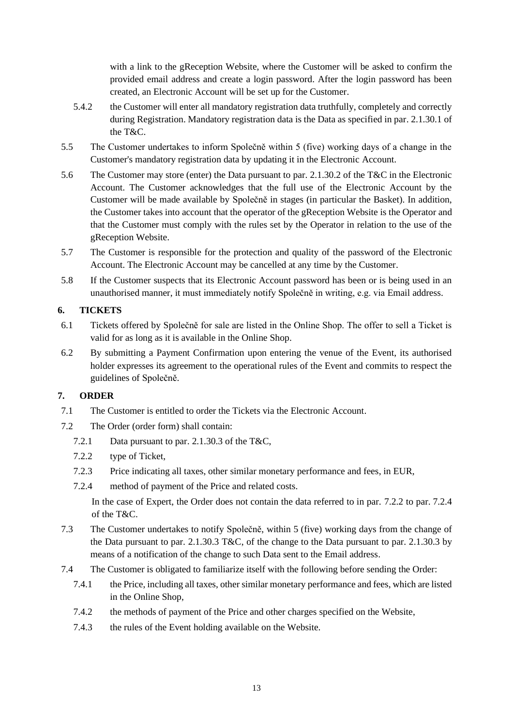with a link to the gReception Website, where the Customer will be asked to confirm the provided email address and create a login password. After the login password has been created, an Electronic Account will be set up for the Customer.

- 5.4.2 the Customer will enter all mandatory registration data truthfully, completely and correctly during Registration. Mandatory registration data is the Data as specified in par. 2.1.30.1 of the T&C.
- 5.5 The Customer undertakes to inform Společně within 5 (five) working days of a change in the Customer's mandatory registration data by updating it in the Electronic Account.
- 5.6 The Customer may store (enter) the Data pursuant to par. 2.1.30.2 of the T&C in the Electronic Account. The Customer acknowledges that the full use of the Electronic Account by the Customer will be made available by Společně in stages (in particular the Basket). In addition, the Customer takes into account that the operator of the gReception Website is the Operator and that the Customer must comply with the rules set by the Operator in relation to the use of the gReception Website.
- 5.7 The Customer is responsible for the protection and quality of the password of the Electronic Account. The Electronic Account may be cancelled at any time by the Customer.
- 5.8 If the Customer suspects that its Electronic Account password has been or is being used in an unauthorised manner, it must immediately notify Společně in writing, e.g. via Email address.

## **6. TICKETS**

- 6.1 Tickets offered by Společně for sale are listed in the Online Shop. The offer to sell a Ticket is valid for as long as it is available in the Online Shop.
- 6.2 By submitting a Payment Confirmation upon entering the venue of the Event, its authorised holder expresses its agreement to the operational rules of the Event and commits to respect the guidelines of Společně.

## **7. ORDER**

- 7.1 The Customer is entitled to order the Tickets via the Electronic Account.
- 7.2 The Order (order form) shall contain:
	- 7.2.1 Data pursuant to par. 2.1.30.3 of the T&C,
	- 7.2.2 type of Ticket,
	- 7.2.3 Price indicating all taxes, other similar monetary performance and fees, in EUR,
	- 7.2.4 method of payment of the Price and related costs.

In the case of Expert, the Order does not contain the data referred to in par. 7.2.2 to par. 7.2.4 of the T&C.

- 7.3 The Customer undertakes to notify Společně, within 5 (five) working days from the change of the Data pursuant to par. 2.1.30.3 T&C, of the change to the Data pursuant to par. 2.1.30.3 by means of a notification of the change to such Data sent to the Email address.
- 7.4 The Customer is obligated to familiarize itself with the following before sending the Order:
	- 7.4.1 the Price, including all taxes, other similar monetary performance and fees, which are listed in the Online Shop,
	- 7.4.2 the methods of payment of the Price and other charges specified on the Website,
	- 7.4.3 the rules of the Event holding available on the Website.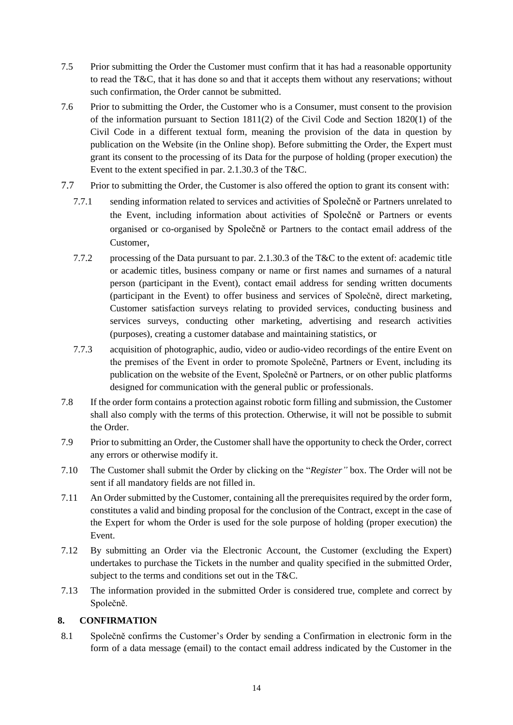- 7.5 Prior submitting the Order the Customer must confirm that it has had a reasonable opportunity to read the T&C, that it has done so and that it accepts them without any reservations; without such confirmation, the Order cannot be submitted.
- 7.6 Prior to submitting the Order, the Customer who is a Consumer, must consent to the provision of the information pursuant to Section 1811(2) of the Civil Code and Section 1820(1) of the Civil Code in a different textual form, meaning the provision of the data in question by publication on the Website (in the Online shop). Before submitting the Order, the Expert must grant its consent to the processing of its Data for the purpose of holding (proper execution) the Event to the extent specified in par. 2.1.30.3 of the T&C.
- 7.7 Prior to submitting the Order, the Customer is also offered the option to grant its consent with:
	- 7.7.1 sending information related to services and activities of Společně or Partners unrelated to the Event, including information about activities of Společně or Partners or events organised or co-organised by Společně or Partners to the contact email address of the Customer,
	- 7.7.2 processing of the Data pursuant to par. 2.1.30.3 of the T&C to the extent of: academic title or academic titles, business company or name or first names and surnames of a natural person (participant in the Event), contact email address for sending written documents (participant in the Event) to offer business and services of Společně, direct marketing, Customer satisfaction surveys relating to provided services, conducting business and services surveys, conducting other marketing, advertising and research activities (purposes), creating a customer database and maintaining statistics, or
	- 7.7.3 acquisition of photographic, audio, video or audio-video recordings of the entire Event on the premises of the Event in order to promote Společně, Partners or Event, including its publication on the website of the Event, Společně or Partners, or on other public platforms designed for communication with the general public or professionals.
- 7.8 If the order form contains a protection against robotic form filling and submission, the Customer shall also comply with the terms of this protection. Otherwise, it will not be possible to submit the Order.
- 7.9 Prior to submitting an Order, the Customer shall have the opportunity to check the Order, correct any errors or otherwise modify it.
- 7.10 The Customer shall submit the Order by clicking on the "*Register"* box. The Order will not be sent if all mandatory fields are not filled in.
- 7.11 An Order submitted by the Customer, containing all the prerequisites required by the order form, constitutes a valid and binding proposal for the conclusion of the Contract, except in the case of the Expert for whom the Order is used for the sole purpose of holding (proper execution) the Event.
- 7.12 By submitting an Order via the Electronic Account, the Customer (excluding the Expert) undertakes to purchase the Tickets in the number and quality specified in the submitted Order, subject to the terms and conditions set out in the T&C.
- 7.13 The information provided in the submitted Order is considered true, complete and correct by Společně.

## **8. CONFIRMATION**

8.1 Společně confirms the Customer's Order by sending a Confirmation in electronic form in the form of a data message (email) to the contact email address indicated by the Customer in the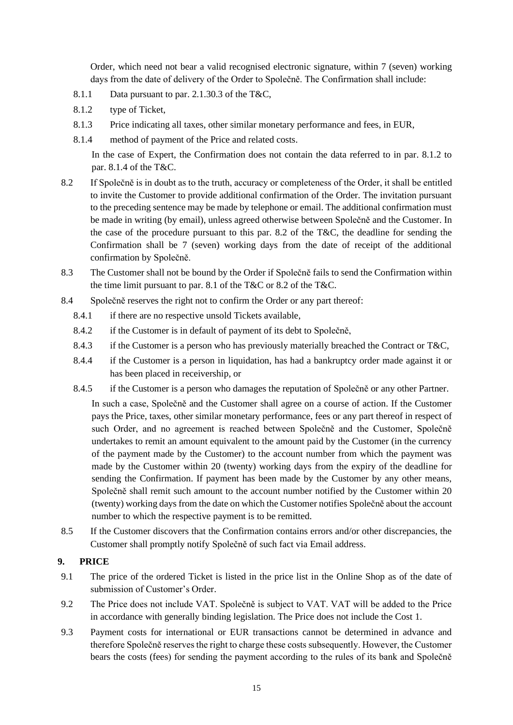Order, which need not bear a valid recognised electronic signature, within 7 (seven) working days from the date of delivery of the Order to Společně. The Confirmation shall include:

- 8.1.1 Data pursuant to par. 2.1.30.3 of the T&C,
- 8.1.2 type of Ticket,
- 8.1.3 Price indicating all taxes, other similar monetary performance and fees, in EUR,
- 8.1.4 method of payment of the Price and related costs.

In the case of Expert, the Confirmation does not contain the data referred to in par. 8.1.2 to par. 8.1.4 of the T&C.

- 8.2 If Společně is in doubt as to the truth, accuracy or completeness of the Order, it shall be entitled to invite the Customer to provide additional confirmation of the Order. The invitation pursuant to the preceding sentence may be made by telephone or email. The additional confirmation must be made in writing (by email), unless agreed otherwise between Společně and the Customer. In the case of the procedure pursuant to this par. 8.2 of the T&C, the deadline for sending the Confirmation shall be 7 (seven) working days from the date of receipt of the additional confirmation by Společně.
- 8.3 The Customer shall not be bound by the Order if Společně fails to send the Confirmation within the time limit pursuant to par. 8.1 of the T&C or 8.2 of the T&C.
- 8.4 Společně reserves the right not to confirm the Order or any part thereof:
	- 8.4.1 if there are no respective unsold Tickets available,
	- 8.4.2 if the Customer is in default of payment of its debt to Společně,
	- 8.4.3 if the Customer is a person who has previously materially breached the Contract or T&C,
	- 8.4.4 if the Customer is a person in liquidation, has had a bankruptcy order made against it or has been placed in receivership, or
	- 8.4.5 if the Customer is a person who damages the reputation of Společně or any other Partner.

In such a case, Společně and the Customer shall agree on a course of action. If the Customer pays the Price, taxes, other similar monetary performance, fees or any part thereof in respect of such Order, and no agreement is reached between Společně and the Customer, Společně undertakes to remit an amount equivalent to the amount paid by the Customer (in the currency of the payment made by the Customer) to the account number from which the payment was made by the Customer within 20 (twenty) working days from the expiry of the deadline for sending the Confirmation. If payment has been made by the Customer by any other means, Společně shall remit such amount to the account number notified by the Customer within 20 (twenty) working days from the date on which the Customer notifies Společně about the account number to which the respective payment is to be remitted.

8.5 If the Customer discovers that the Confirmation contains errors and/or other discrepancies, the Customer shall promptly notify Společně of such fact via Email address.

## **9. PRICE**

- 9.1 The price of the ordered Ticket is listed in the price list in the Online Shop as of the date of submission of Customer's Order.
- 9.2 The Price does not include VAT. Společně is subject to VAT. VAT will be added to the Price in accordance with generally binding legislation. The Price does not include the Cost 1.
- 9.3 Payment costs for international or EUR transactions cannot be determined in advance and therefore Společně reserves the right to charge these costs subsequently. However, the Customer bears the costs (fees) for sending the payment according to the rules of its bank and Společně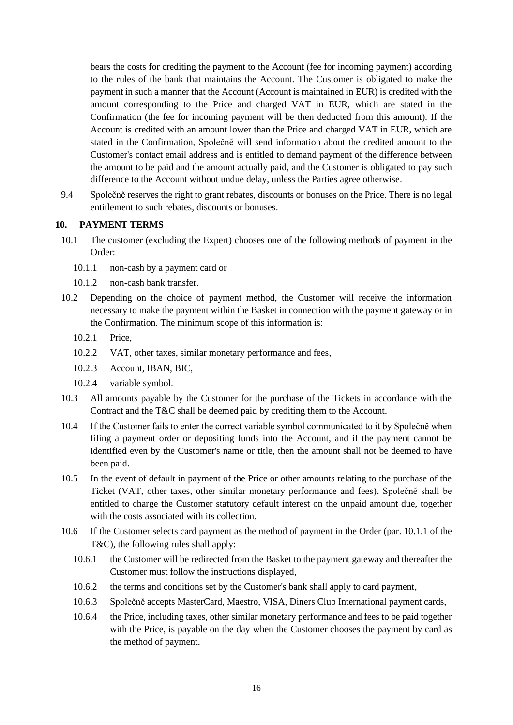bears the costs for crediting the payment to the Account (fee for incoming payment) according to the rules of the bank that maintains the Account. The Customer is obligated to make the payment in such a manner that the Account (Account is maintained in EUR) is credited with the amount corresponding to the Price and charged VAT in EUR, which are stated in the Confirmation (the fee for incoming payment will be then deducted from this amount). If the Account is credited with an amount lower than the Price and charged VAT in EUR, which are stated in the Confirmation, Společně will send information about the credited amount to the Customer's contact email address and is entitled to demand payment of the difference between the amount to be paid and the amount actually paid, and the Customer is obligated to pay such difference to the Account without undue delay, unless the Parties agree otherwise.

9.4 Společně reserves the right to grant rebates, discounts or bonuses on the Price. There is no legal entitlement to such rebates, discounts or bonuses.

#### **10. PAYMENT TERMS**

- 10.1 The customer (excluding the Expert) chooses one of the following methods of payment in the Order:
	- 10.1.1 non-cash by a payment card or
	- 10.1.2 non-cash bank transfer.
- 10.2 Depending on the choice of payment method, the Customer will receive the information necessary to make the payment within the Basket in connection with the payment gateway or in the Confirmation. The minimum scope of this information is:
	- 10.2.1 Price,
	- 10.2.2 VAT, other taxes, similar monetary performance and fees,
	- 10.2.3 Account, IBAN, BIC,
	- 10.2.4 variable symbol.
- 10.3 All amounts payable by the Customer for the purchase of the Tickets in accordance with the Contract and the T&C shall be deemed paid by crediting them to the Account.
- 10.4 If the Customer fails to enter the correct variable symbol communicated to it by Společně when filing a payment order or depositing funds into the Account, and if the payment cannot be identified even by the Customer's name or title, then the amount shall not be deemed to have been paid.
- 10.5 In the event of default in payment of the Price or other amounts relating to the purchase of the Ticket (VAT, other taxes, other similar monetary performance and fees), Společně shall be entitled to charge the Customer statutory default interest on the unpaid amount due, together with the costs associated with its collection.
- 10.6 If the Customer selects card payment as the method of payment in the Order (par. 10.1.1 of the T&C), the following rules shall apply:
	- 10.6.1 the Customer will be redirected from the Basket to the payment gateway and thereafter the Customer must follow the instructions displayed,
	- 10.6.2 the terms and conditions set by the Customer's bank shall apply to card payment,
	- 10.6.3 Společně accepts MasterCard, Maestro, VISA, Diners Club International payment cards,
	- 10.6.4 the Price, including taxes, other similar monetary performance and fees to be paid together with the Price, is payable on the day when the Customer chooses the payment by card as the method of payment.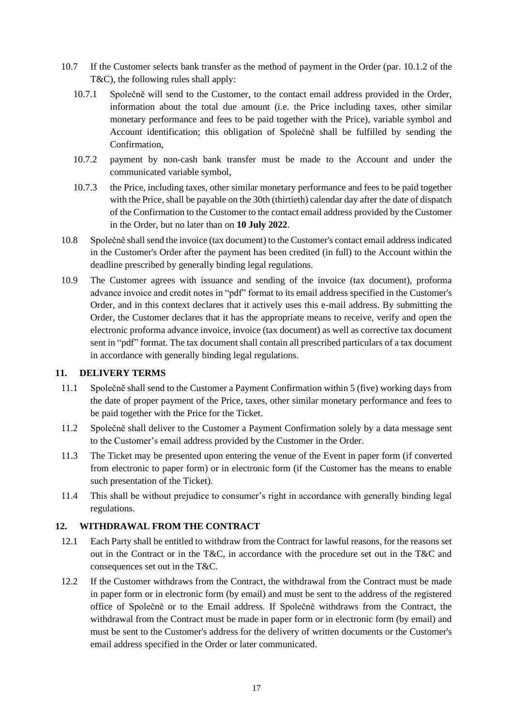- 10.7 If the Customer selects bank transfer as the method of payment in the Order (par. 10.1.2 of the T&C), the following rules shall apply:
	- 10.7.1 Společně will send to the Customer, to the contact email address provided in the Order, information about the total due amount (i.e. the Price including taxes, other similar monetary performance and fees to be paid together with the Price), variable symbol and Account identification; this obligation of Společně shall be fulfilled by sending the Confirmation,
	- 10.7.2 payment by non-cash bank transfer must be made to the Account and under the communicated variable symbol,
	- 10.7.3 the Price, including taxes, other similar monetary performance and fees to be paid together with the Price, shall be payable on the 30th (thirtieth) calendar day after the date of dispatch of the Confirmation to the Customer to the contact email address provided by the Customer in the Order, but no later than on **10 July 2022**.
- 10.8 Společně shall send the invoice (tax document) to the Customer's contact email address indicated in the Customer's Order after the payment has been credited (in full) to the Account within the deadline prescribed by generally binding legal regulations.
- 10.9 The Customer agrees with issuance and sending of the invoice (tax document), proforma advance invoice and credit notes in "pdf" format to its email address specified in the Customer's Order, and in this context declares that it actively uses this e-mail address. By submitting the Order, the Customer declares that it has the appropriate means to receive, verify and open the electronic proforma advance invoice, invoice (tax document) as well as corrective tax document sent in "pdf" format. The tax document shall contain all prescribed particulars of a tax document in accordance with generally binding legal regulations.

#### **11. DELIVERY TERMS**

- 11.1 Společně shall send to the Customer a Payment Confirmation within 5 (five) working days from the date of proper payment of the Price, taxes, other similar monetary performance and fees to be paid together with the Price for the Ticket.
- 11.2 Společně shall deliver to the Customer a Payment Confirmation solely by a data message sent to the Customer's email address provided by the Customer in the Order.
- 11.3 The Ticket may be presented upon entering the venue of the Event in paper form (if converted from electronic to paper form) or in electronic form (if the Customer has the means to enable such presentation of the Ticket).
- 11.4 This shall be without prejudice to consumer's right in accordance with generally binding legal regulations.

## **12. WITHDRAWAL FROM THE CONTRACT**

- 12.1 Each Party shall be entitled to withdraw from the Contract for lawful reasons, for the reasons set out in the Contract or in the T&C, in accordance with the procedure set out in the T&C and consequences set out in the T&C.
- 12.2 If the Customer withdraws from the Contract, the withdrawal from the Contract must be made in paper form or in electronic form (by email) and must be sent to the address of the registered office of Společně or to the Email address. If Společně withdraws from the Contract, the withdrawal from the Contract must be made in paper form or in electronic form (by email) and must be sent to the Customer's address for the delivery of written documents or the Customer's email address specified in the Order or later communicated.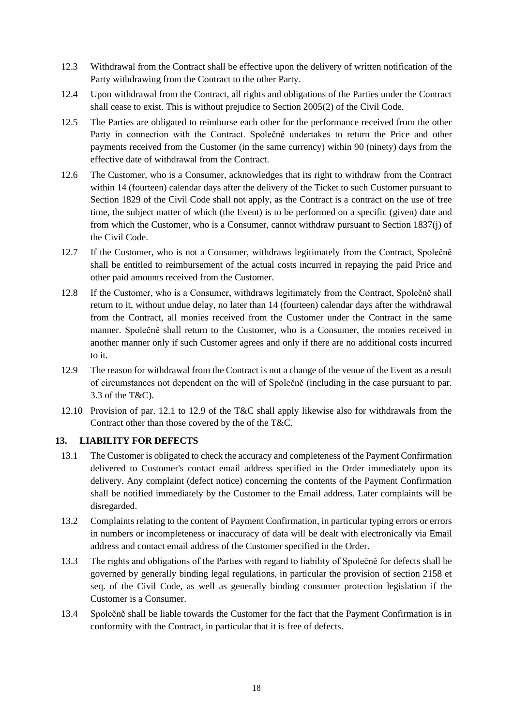- 12.3 Withdrawal from the Contract shall be effective upon the delivery of written notification of the Party withdrawing from the Contract to the other Party.
- 12.4 Upon withdrawal from the Contract, all rights and obligations of the Parties under the Contract shall cease to exist. This is without prejudice to Section 2005(2) of the Civil Code.
- 12.5 The Parties are obligated to reimburse each other for the performance received from the other Party in connection with the Contract. Společně undertakes to return the Price and other payments received from the Customer (in the same currency) within 90 (ninety) days from the effective date of withdrawal from the Contract.
- 12.6 The Customer, who is a Consumer, acknowledges that its right to withdraw from the Contract within 14 (fourteen) calendar days after the delivery of the Ticket to such Customer pursuant to Section 1829 of the Civil Code shall not apply, as the Contract is a contract on the use of free time, the subject matter of which (the Event) is to be performed on a specific (given) date and from which the Customer, who is a Consumer, cannot withdraw pursuant to Section 1837(j) of the Civil Code.
- 12.7 If the Customer, who is not a Consumer, withdraws legitimately from the Contract, Společně shall be entitled to reimbursement of the actual costs incurred in repaying the paid Price and other paid amounts received from the Customer.
- 12.8 If the Customer, who is a Consumer, withdraws legitimately from the Contract, Společně shall return to it, without undue delay, no later than 14 (fourteen) calendar days after the withdrawal from the Contract, all monies received from the Customer under the Contract in the same manner. Společně shall return to the Customer, who is a Consumer, the monies received in another manner only if such Customer agrees and only if there are no additional costs incurred to it.
- 12.9 The reason for withdrawal from the Contract is not a change of the venue of the Event as a result of circumstances not dependent on the will of Společně (including in the case pursuant to par. 3.3 of the T&C).
- 12.10 Provision of par. 12.1 to 12.9 of the T&C shall apply likewise also for withdrawals from the Contract other than those covered by the of the T&C.

# **13. LIABILITY FOR DEFECTS**

- 13.1 The Customer is obligated to check the accuracy and completeness of the Payment Confirmation delivered to Customer's contact email address specified in the Order immediately upon its delivery. Any complaint (defect notice) concerning the contents of the Payment Confirmation shall be notified immediately by the Customer to the Email address. Later complaints will be disregarded.
- 13.2 Complaints relating to the content of Payment Confirmation, in particular typing errors or errors in numbers or incompleteness or inaccuracy of data will be dealt with electronically via Email address and contact email address of the Customer specified in the Order.
- 13.3 The rights and obligations of the Parties with regard to liability of Společně for defects shall be governed by generally binding legal regulations, in particular the provision of section 2158 et seq. of the Civil Code, as well as generally binding consumer protection legislation if the Customer is a Consumer.
- 13.4 Společně shall be liable towards the Customer for the fact that the Payment Confirmation is in conformity with the Contract, in particular that it is free of defects.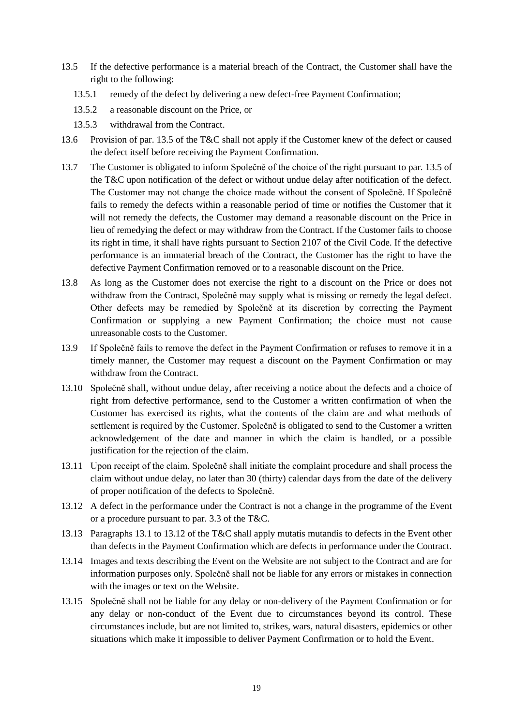- 13.5 If the defective performance is a material breach of the Contract, the Customer shall have the right to the following:
	- 13.5.1 remedy of the defect by delivering a new defect-free Payment Confirmation;
	- 13.5.2 a reasonable discount on the Price, or
	- 13.5.3 withdrawal from the Contract.
- 13.6 Provision of par. 13.5 of the T&C shall not apply if the Customer knew of the defect or caused the defect itself before receiving the Payment Confirmation.
- 13.7 The Customer is obligated to inform Společně of the choice of the right pursuant to par. 13.5 of the T&C upon notification of the defect or without undue delay after notification of the defect. The Customer may not change the choice made without the consent of Společně. If Společně fails to remedy the defects within a reasonable period of time or notifies the Customer that it will not remedy the defects, the Customer may demand a reasonable discount on the Price in lieu of remedying the defect or may withdraw from the Contract. If the Customer fails to choose its right in time, it shall have rights pursuant to Section 2107 of the Civil Code. If the defective performance is an immaterial breach of the Contract, the Customer has the right to have the defective Payment Confirmation removed or to a reasonable discount on the Price.
- 13.8 As long as the Customer does not exercise the right to a discount on the Price or does not withdraw from the Contract, Společně may supply what is missing or remedy the legal defect. Other defects may be remedied by Společně at its discretion by correcting the Payment Confirmation or supplying a new Payment Confirmation; the choice must not cause unreasonable costs to the Customer.
- 13.9 If Společně fails to remove the defect in the Payment Confirmation or refuses to remove it in a timely manner, the Customer may request a discount on the Payment Confirmation or may withdraw from the Contract.
- 13.10 Společně shall, without undue delay, after receiving a notice about the defects and a choice of right from defective performance, send to the Customer a written confirmation of when the Customer has exercised its rights, what the contents of the claim are and what methods of settlement is required by the Customer. Společně is obligated to send to the Customer a written acknowledgement of the date and manner in which the claim is handled, or a possible justification for the rejection of the claim.
- 13.11 Upon receipt of the claim, Společně shall initiate the complaint procedure and shall process the claim without undue delay, no later than 30 (thirty) calendar days from the date of the delivery of proper notification of the defects to Společně.
- 13.12 A defect in the performance under the Contract is not a change in the programme of the Event or a procedure pursuant to par. 3.3 of the T&C.
- 13.13 Paragraphs 13.1 to 13.12 of the T&C shall apply mutatis mutandis to defects in the Event other than defects in the Payment Confirmation which are defects in performance under the Contract.
- 13.14 Images and texts describing the Event on the Website are not subject to the Contract and are for information purposes only. Společně shall not be liable for any errors or mistakes in connection with the images or text on the Website.
- 13.15 Společně shall not be liable for any delay or non-delivery of the Payment Confirmation or for any delay or non-conduct of the Event due to circumstances beyond its control. These circumstances include, but are not limited to, strikes, wars, natural disasters, epidemics or other situations which make it impossible to deliver Payment Confirmation or to hold the Event.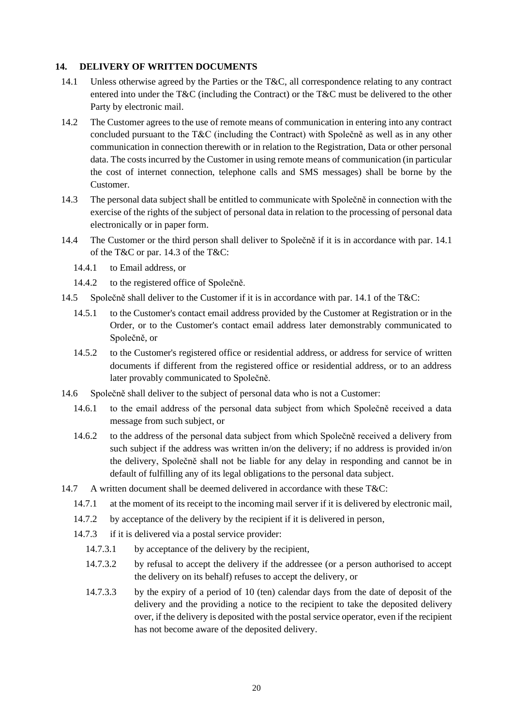#### **14. DELIVERY OF WRITTEN DOCUMENTS**

- 14.1 Unless otherwise agreed by the Parties or the T&C, all correspondence relating to any contract entered into under the T&C (including the Contract) or the T&C must be delivered to the other Party by electronic mail.
- 14.2 The Customer agrees to the use of remote means of communication in entering into any contract concluded pursuant to the T&C (including the Contract) with Společně as well as in any other communication in connection therewith or in relation to the Registration, Data or other personal data. The costs incurred by the Customer in using remote means of communication (in particular the cost of internet connection, telephone calls and SMS messages) shall be borne by the Customer.
- 14.3 The personal data subject shall be entitled to communicate with Společně in connection with the exercise of the rights of the subject of personal data in relation to the processing of personal data electronically or in paper form.
- 14.4 The Customer or the third person shall deliver to Společně if it is in accordance with par. 14.1 of the T&C or par. 14.3 of the T&C:
	- 14.4.1 to Email address, or
	- 14.4.2 to the registered office of Společně.
- 14.5 Společně shall deliver to the Customer if it is in accordance with par. 14.1 of the T&C:
	- 14.5.1 to the Customer's contact email address provided by the Customer at Registration or in the Order, or to the Customer's contact email address later demonstrably communicated to Společně, or
	- 14.5.2 to the Customer's registered office or residential address, or address for service of written documents if different from the registered office or residential address, or to an address later provably communicated to Společně.
- 14.6 Společně shall deliver to the subject of personal data who is not a Customer:
	- 14.6.1 to the email address of the personal data subject from which Společně received a data message from such subject, or
	- 14.6.2 to the address of the personal data subject from which Společně received a delivery from such subject if the address was written in/on the delivery; if no address is provided in/on the delivery, Společně shall not be liable for any delay in responding and cannot be in default of fulfilling any of its legal obligations to the personal data subject.
- 14.7 A written document shall be deemed delivered in accordance with these T&C:
	- 14.7.1 at the moment of its receipt to the incoming mail server if it is delivered by electronic mail,
	- 14.7.2 by acceptance of the delivery by the recipient if it is delivered in person,
	- 14.7.3 if it is delivered via a postal service provider:
		- 14.7.3.1 by acceptance of the delivery by the recipient,
		- 14.7.3.2 by refusal to accept the delivery if the addressee (or a person authorised to accept the delivery on its behalf) refuses to accept the delivery, or
		- 14.7.3.3 by the expiry of a period of 10 (ten) calendar days from the date of deposit of the delivery and the providing a notice to the recipient to take the deposited delivery over, if the delivery is deposited with the postal service operator, even if the recipient has not become aware of the deposited delivery.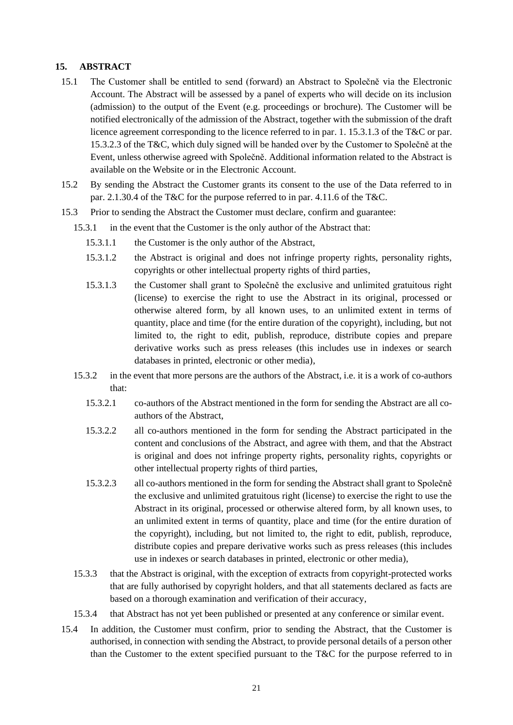#### **15. ABSTRACT**

- 15.1 The Customer shall be entitled to send (forward) an Abstract to Společně via the Electronic Account. The Abstract will be assessed by a panel of experts who will decide on its inclusion (admission) to the output of the Event (e.g. proceedings or brochure). The Customer will be notified electronically of the admission of the Abstract, together with the submission of the draft licence agreement corresponding to the licence referred to in par. 1. 15.3.1.3 of the T&C or par. 15.3.2.3 of the T&C, which duly signed will be handed over by the Customer to Společně at the Event, unless otherwise agreed with Společně. Additional information related to the Abstract is available on the Website or in the Electronic Account.
- 15.2 By sending the Abstract the Customer grants its consent to the use of the Data referred to in par. 2.1.30.4 of the T&C for the purpose referred to in par. 4.11.6 of the T&C.
- 15.3 Prior to sending the Abstract the Customer must declare, confirm and guarantee:
	- 15.3.1 in the event that the Customer is the only author of the Abstract that:
		- 15.3.1.1 the Customer is the only author of the Abstract,
		- 15.3.1.2 the Abstract is original and does not infringe property rights, personality rights, copyrights or other intellectual property rights of third parties,
		- 15.3.1.3 the Customer shall grant to Společně the exclusive and unlimited gratuitous right (license) to exercise the right to use the Abstract in its original, processed or otherwise altered form, by all known uses, to an unlimited extent in terms of quantity, place and time (for the entire duration of the copyright), including, but not limited to, the right to edit, publish, reproduce, distribute copies and prepare derivative works such as press releases (this includes use in indexes or search databases in printed, electronic or other media),
	- 15.3.2 in the event that more persons are the authors of the Abstract, i.e. it is a work of co-authors that:
		- 15.3.2.1 co-authors of the Abstract mentioned in the form for sending the Abstract are all coauthors of the Abstract,
		- 15.3.2.2 all co-authors mentioned in the form for sending the Abstract participated in the content and conclusions of the Abstract, and agree with them, and that the Abstract is original and does not infringe property rights, personality rights, copyrights or other intellectual property rights of third parties,
		- 15.3.2.3 all co-authors mentioned in the form for sending the Abstract shall grant to Společně the exclusive and unlimited gratuitous right (license) to exercise the right to use the Abstract in its original, processed or otherwise altered form, by all known uses, to an unlimited extent in terms of quantity, place and time (for the entire duration of the copyright), including, but not limited to, the right to edit, publish, reproduce, distribute copies and prepare derivative works such as press releases (this includes use in indexes or search databases in printed, electronic or other media),
	- 15.3.3 that the Abstract is original, with the exception of extracts from copyright-protected works that are fully authorised by copyright holders, and that all statements declared as facts are based on a thorough examination and verification of their accuracy,
	- 15.3.4 that Abstract has not yet been published or presented at any conference or similar event.
- 15.4 In addition, the Customer must confirm, prior to sending the Abstract, that the Customer is authorised, in connection with sending the Abstract, to provide personal details of a person other than the Customer to the extent specified pursuant to the T&C for the purpose referred to in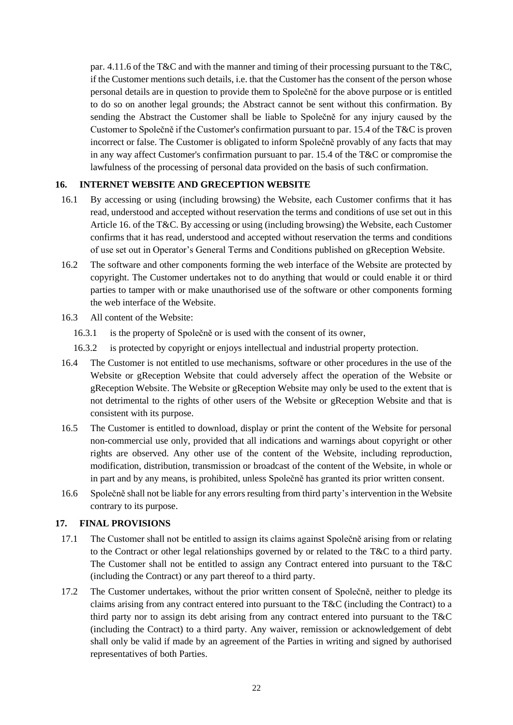par. 4.11.6 of the T&C and with the manner and timing of their processing pursuant to the T&C, if the Customer mentions such details, i.e. that the Customer has the consent of the person whose personal details are in question to provide them to Společně for the above purpose or is entitled to do so on another legal grounds; the Abstract cannot be sent without this confirmation. By sending the Abstract the Customer shall be liable to Společně for any injury caused by the Customer to Společně if the Customer's confirmation pursuant to par. 15.4 of the T&C is proven incorrect or false. The Customer is obligated to inform Společně provably of any facts that may in any way affect Customer's confirmation pursuant to par. 15.4 of the T&C or compromise the lawfulness of the processing of personal data provided on the basis of such confirmation.

## **16. INTERNET WEBSITE AND GRECEPTION WEBSITE**

- 16.1 By accessing or using (including browsing) the Website, each Customer confirms that it has read, understood and accepted without reservation the terms and conditions of use set out in this Article 16. of the T&C. By accessing or using (including browsing) the Website, each Customer confirms that it has read, understood and accepted without reservation the terms and conditions of use set out in Operator's General Terms and Conditions published on gReception Website.
- 16.2 The software and other components forming the web interface of the Website are protected by copyright. The Customer undertakes not to do anything that would or could enable it or third parties to tamper with or make unauthorised use of the software or other components forming the web interface of the Website.
- 16.3 All content of the Website:
	- 16.3.1 is the property of Společně or is used with the consent of its owner,
	- 16.3.2 is protected by copyright or enjoys intellectual and industrial property protection.
- 16.4 The Customer is not entitled to use mechanisms, software or other procedures in the use of the Website or gReception Website that could adversely affect the operation of the Website or gReception Website. The Website or gReception Website may only be used to the extent that is not detrimental to the rights of other users of the Website or gReception Website and that is consistent with its purpose.
- 16.5 The Customer is entitled to download, display or print the content of the Website for personal non-commercial use only, provided that all indications and warnings about copyright or other rights are observed. Any other use of the content of the Website, including reproduction, modification, distribution, transmission or broadcast of the content of the Website, in whole or in part and by any means, is prohibited, unless Společně has granted its prior written consent.
- 16.6 Společně shall not be liable for any errors resulting from third party's intervention in the Website contrary to its purpose.

#### **17. FINAL PROVISIONS**

- 17.1 The Customer shall not be entitled to assign its claims against Společně arising from or relating to the Contract or other legal relationships governed by or related to the T&C to a third party. The Customer shall not be entitled to assign any Contract entered into pursuant to the T&C (including the Contract) or any part thereof to a third party.
- 17.2 The Customer undertakes, without the prior written consent of Společně, neither to pledge its claims arising from any contract entered into pursuant to the T&C (including the Contract) to a third party nor to assign its debt arising from any contract entered into pursuant to the T&C (including the Contract) to a third party. Any waiver, remission or acknowledgement of debt shall only be valid if made by an agreement of the Parties in writing and signed by authorised representatives of both Parties.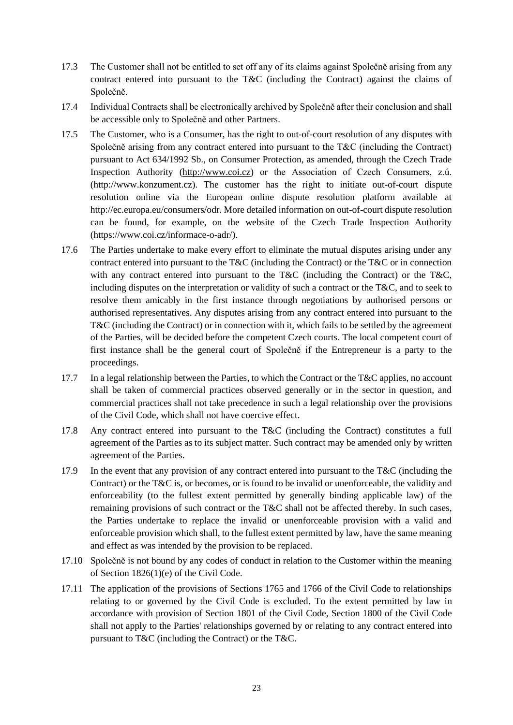- 17.3 The Customer shall not be entitled to set off any of its claims against Společně arising from any contract entered into pursuant to the T&C (including the Contract) against the claims of Společně.
- 17.4 Individual Contracts shall be electronically archived by Společně after their conclusion and shall be accessible only to Společně and other Partners.
- 17.5 The Customer, who is a Consumer, has the right to out-of-court resolution of any disputes with Společně arising from any contract entered into pursuant to the T&C (including the Contract) pursuant to Act 634/1992 Sb., on Consumer Protection, as amended, through the Czech Trade Inspection Authority [\(http://www.coi.cz\)](http://www.coi.cz/) or the Association of Czech Consumers, z.ú. [\(http://www.konzument.cz\)](http://www.konzument.cz/). The customer has the right to initiate out-of-court dispute resolution online via the European online dispute resolution platform available at [http://ec.europa.eu/consumers/odr.](http://ec.europa.eu/consumers/odr) More detailed information on out-of-court dispute resolution can be found, for example, on the website of the Czech Trade Inspection Authority (https://www.coi.cz/informace-o-adr/).
- 17.6 The Parties undertake to make every effort to eliminate the mutual disputes arising under any contract entered into pursuant to the T&C (including the Contract) or the T&C or in connection with any contract entered into pursuant to the T&C (including the Contract) or the T&C, including disputes on the interpretation or validity of such a contract or the T&C, and to seek to resolve them amicably in the first instance through negotiations by authorised persons or authorised representatives. Any disputes arising from any contract entered into pursuant to the T&C (including the Contract) or in connection with it, which fails to be settled by the agreement of the Parties, will be decided before the competent Czech courts. The local competent court of first instance shall be the general court of Společně if the Entrepreneur is a party to the proceedings.
- 17.7 In a legal relationship between the Parties, to which the Contract or the T&C applies, no account shall be taken of commercial practices observed generally or in the sector in question, and commercial practices shall not take precedence in such a legal relationship over the provisions of the Civil Code, which shall not have coercive effect.
- 17.8 Any contract entered into pursuant to the T&C (including the Contract) constitutes a full agreement of the Parties as to its subject matter. Such contract may be amended only by written agreement of the Parties.
- 17.9 In the event that any provision of any contract entered into pursuant to the T&C (including the Contract) or the T&C is, or becomes, or is found to be invalid or unenforceable, the validity and enforceability (to the fullest extent permitted by generally binding applicable law) of the remaining provisions of such contract or the T&C shall not be affected thereby. In such cases, the Parties undertake to replace the invalid or unenforceable provision with a valid and enforceable provision which shall, to the fullest extent permitted by law, have the same meaning and effect as was intended by the provision to be replaced.
- 17.10 Společně is not bound by any codes of conduct in relation to the Customer within the meaning of Section 1826(1)(e) of the Civil Code.
- 17.11 The application of the provisions of Sections 1765 and 1766 of the Civil Code to relationships relating to or governed by the Civil Code is excluded. To the extent permitted by law in accordance with provision of Section 1801 of the Civil Code, Section 1800 of the Civil Code shall not apply to the Parties' relationships governed by or relating to any contract entered into pursuant to T&C (including the Contract) or the T&C.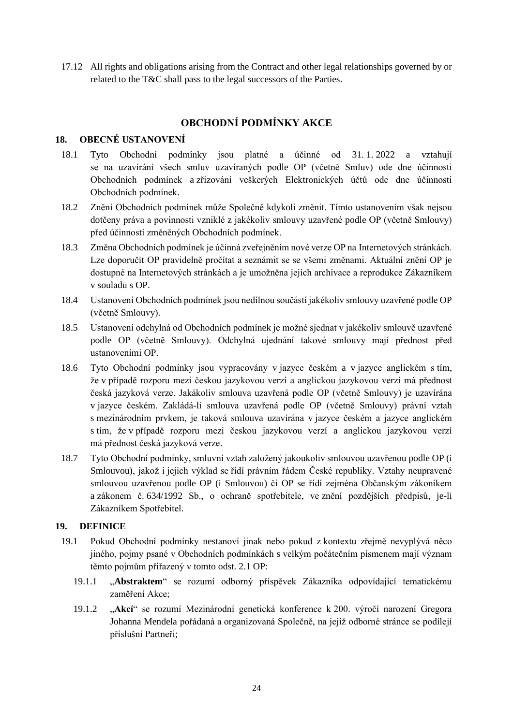17.12 All rights and obligations arising from the Contract and other legal relationships governed by or related to the T&C shall pass to the legal successors of the Parties.

# **OBCHODNÍ PODMÍNKY AKCE**

## **18. OBECNÉ USTANOVENÍ**

- 18.1 Tyto Obchodní podmínky jsou platné a účinné od 31. 1. 2022 a vztahují se na uzavírání všech smluv uzavíraných podle OP (včetně Smluv) ode dne účinnosti Obchodních podmínek a zřizování veškerých Elektronických účtů ode dne účinnosti Obchodních podmínek.
- 18.2 Znění Obchodních podmínek může Společně kdykoli změnit. Tímto ustanovením však nejsou dotčeny práva a povinnosti vzniklé z jakékoliv smlouvy uzavřené podle OP (včetně Smlouvy) před účinností změněných Obchodních podmínek.
- 18.3 Změna Obchodních podmínek je účinná zveřejněním nové verze OP na Internetových stránkách. Lze doporučit OP pravidelně pročítat a seznámit se se všemi změnami. Aktuální znění OP je dostupné na Internetových stránkách a je umožněna jejich archivace a reprodukce Zákazníkem v souladu s OP.
- 18.4 Ustanovení Obchodních podmínek jsou nedílnou součástí jakékoliv smlouvy uzavřené podle OP (včetně Smlouvy).
- 18.5 Ustanovení odchylná od Obchodních podmínek je možné sjednat v jakékoliv smlouvě uzavřené podle OP (včetně Smlouvy). Odchylná ujednání takové smlouvy mají přednost před ustanoveními OP.
- 18.6 Tyto Obchodní podmínky jsou vypracovány v jazyce českém a v jazyce anglickém s tím, že v případě rozporu mezi českou jazykovou verzí a anglickou jazykovou verzí má přednost česká jazyková verze. Jakákoliv smlouva uzavřená podle OP (včetně Smlouvy) je uzavírána v jazyce českém. Zakládá-li smlouva uzavřená podle OP (včetně Smlouvy) právní vztah s mezinárodním prvkem, je taková smlouva uzavírána v jazyce českém a jazyce anglickém s tím, že v případě rozporu mezi českou jazykovou verzí a anglickou jazykovou verzí má přednost česká jazyková verze.
- 18.7 Tyto Obchodní podmínky, smluvní vztah založený jakoukoliv smlouvou uzavřenou podle OP (i Smlouvou), jakož i jejich výklad se řídí právním řádem České republiky. Vztahy neupravené smlouvou uzavřenou podle OP (i Smlouvou) či OP se řídí zejména Občanským zákoníkem a zákonem č. 634/1992 Sb., o ochraně spotřebitele, ve znění pozdějších předpisů, je-li Zákazníkem Spotřebitel.

## **19. DEFINICE**

- 19.1 Pokud Obchodní podmínky nestanoví jinak nebo pokud z kontextu zřejmě nevyplývá něco jiného, pojmy psané v Obchodních podmínkách s velkým počátečním písmenem mají význam těmto pojmům přiřazený v tomto odst. 2.1 OP:
	- 19.1.1 "**Abstraktem**" se rozumí odborný příspěvek Zákazníka odpovídající tematickému zaměření Akce;
	- 19.1.2 "**Akcí**" se rozumí Mezinárodní genetická konference k 200. výročí narození Gregora Johanna Mendela pořádaná a organizovaná Společně, na jejíž odborné stránce se podílejí příslušní Partneři;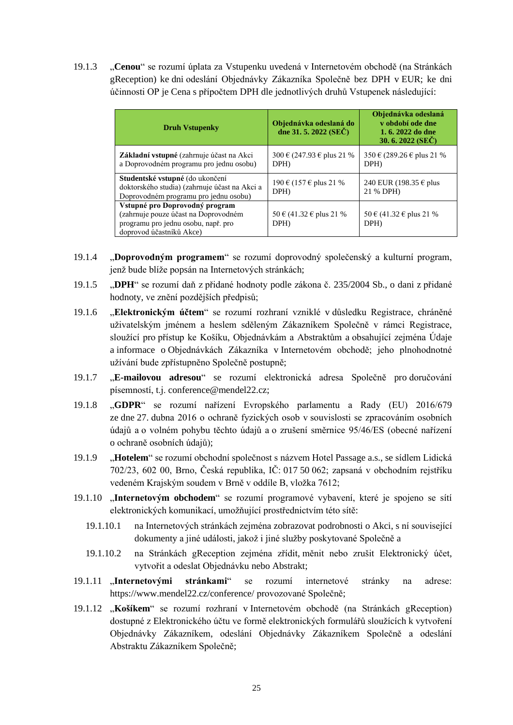19.1.3 "**Cenou**" se rozumí úplata za Vstupenku uvedená v Internetovém obchodě (na Stránkách gReception) ke dni odeslání Objednávky Zákazníka Společně bez DPH v EUR; ke dni účinnosti OP je Cena s přípočtem DPH dle jednotlivých druhů Vstupenek následující:

| <b>Druh Vstupenky</b>                                                                                                                     | Objednávka odeslaná do<br>dne 31.5.2022 (SEČ) | Objednávka odeslaná<br>v období ode dne<br>1, 6, 2022 do dne<br>30. 6. 2022 (SEC) |
|-------------------------------------------------------------------------------------------------------------------------------------------|-----------------------------------------------|-----------------------------------------------------------------------------------|
| Základní vstupné (zahrnuje účast na Akci<br>a Doprovodném programu pro jednu osobu)                                                       | 300 € (247.93 € plus 21 %)<br>DPH             | 350 € (289.26 € plus 21 %)<br>DPH)                                                |
| <b>Studentské vstupné</b> (do ukončení<br>doktorského studia) (zahrnuje účast na Akci a<br>Doprovodném programu pro jednu osobu)          | 190 € (157 € plus 21 %)<br>DPH                | 240 EUR (198.35 $\epsilon$ plus<br>21 % DPH)                                      |
| Vstupné pro Doprovodný program<br>(zahrnuje pouze účast na Doprovodném<br>programu pro jednu osobu, např. pro<br>doprovod účastníků Akce) | 50 € (41.32 € plus 21 %)<br>DPH)              | 50 € (41.32 € plus 21 %)<br>DPH                                                   |

- 19.1.4 "**Doprovodným programem**" se rozumí doprovodný společenský a kulturní program, jenž bude blíže popsán na Internetových stránkách;
- 19.1.5 "**DPH**" se rozumí daň z přidané hodnoty podle zákona č. 235/2004 Sb., o dani z přidané hodnoty, ve znění pozdějších předpisů;
- 19.1.6 "**Elektronickým účtem**" se rozumí rozhraní vzniklé v důsledku Registrace, chráněné uživatelským jménem a heslem sděleným Zákazníkem Společně v rámci Registrace, sloužící pro přístup ke Košíku, Objednávkám a Abstraktům a obsahující zejména Údaje a informace o Objednávkách Zákazníka v Internetovém obchodě; jeho plnohodnotné užívání bude zpřístupněno Společně postupně;
- 19.1.7 "**E-mailovou adresou**" se rozumí elektronická adresa Společně pro doručování písemností, t.j. conference@mendel22.cz;
- 19.1.8 "**GDPR**" se rozumí nařízení Evropského parlamentu a Rady (EU) 2016/679 ze dne 27. dubna 2016 o ochraně fyzických osob v souvislosti se zpracováním osobních údajů a o volném pohybu těchto údajů a o zrušení směrnice 95/46/ES (obecné nařízení o ochraně osobních údajů);
- 19.1.9 "**Hotelem**" se rozumí obchodní společnost s názvem Hotel Passage a.s., se sídlem Lidická 702/23, 602 00, Brno, Česká republika, IČ: 017 50 062; zapsaná v obchodním rejstříku vedeném Krajským soudem v Brně v oddíle B, vložka 7612;
- 19.1.10 "**Internetovým obchodem**" se rozumí programové vybavení, které je spojeno se sítí elektronických komunikací, umožňující prostřednictvím této sítě:
	- 19.1.10.1 na Internetových stránkách zejména zobrazovat podrobnosti o Akci, s ní související dokumenty a jiné události, jakož i jiné služby poskytované Společně a
	- 19.1.10.2 na Stránkách gReception zejména zřídit, měnit nebo zrušit Elektronický účet, vytvořit a odeslat Objednávku nebo Abstrakt;
- 19.1.11 "**Internetovými stránkami**" se rozumí internetové stránky na adrese: https://www.mendel22.cz/conference/ provozované Společně;
- 19.1.12 "**Košíkem**" se rozumí rozhraní v Internetovém obchodě (na Stránkách gReception) dostupné z Elektronického účtu ve formě elektronických formulářů sloužících k vytvoření Objednávky Zákazníkem, odeslání Objednávky Zákazníkem Společně a odeslání Abstraktu Zákazníkem Společně;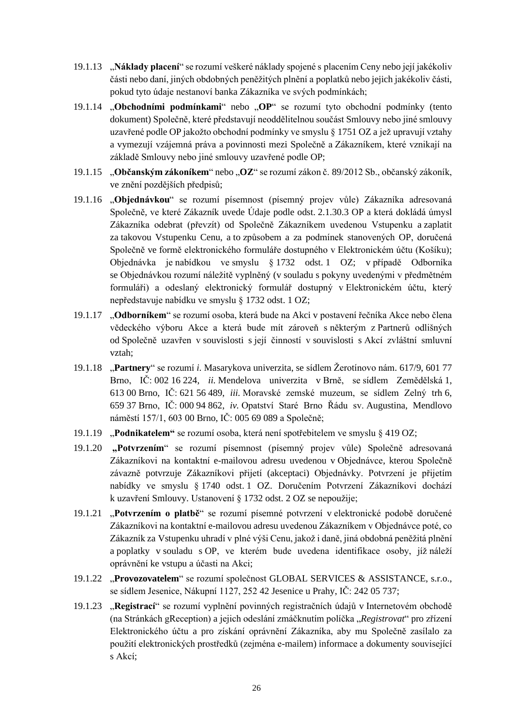- 19.1.13 "**Náklady placení**" se rozumí veškeré náklady spojené s placením Ceny nebo její jakékoliv části nebo daní, jiných obdobných peněžitých plnění a poplatků nebo jejich jakékoliv části, pokud tyto údaje nestanoví banka Zákazníka ve svých podmínkách;
- 19.1.14 "**Obchodními podmínkami**" nebo "**OP**" se rozumí tyto obchodní podmínky (tento dokument) Společně, které představují neoddělitelnou součást Smlouvy nebo jiné smlouvy uzavřené podle OP jakožto obchodní podmínky ve smyslu § 1751 OZ a jež upravují vztahy a vymezují vzájemná práva a povinnosti mezi Společně a Zákazníkem, které vznikají na základě Smlouvy nebo jiné smlouvy uzavřené podle OP;
- 19.1.15 "Občanským zákoníkem" nebo "OZ" se rozumí zákon č. 89/2012 Sb., občanský zákoník, ve znění pozdějších předpisů;
- 19.1.16 "**Objednávkou**" se rozumí písemnost (písemný projev vůle) Zákazníka adresovaná Společně, ve které Zákazník uvede Údaje podle odst. 2.1.30.3 OP a která dokládá úmysl Zákazníka odebrat (převzít) od Společně Zákazníkem uvedenou Vstupenku a zaplatit za takovou Vstupenku Cenu, a to způsobem a za podmínek stanovených OP, doručená Společně ve formě elektronického formuláře dostupného v Elektronickém účtu (Košíku); Objednávka je nabídkou ve smyslu § 1732 odst. 1 OZ; v případě Odborníka se Objednávkou rozumí náležitě vyplněný (v souladu s pokyny uvedenými v předmětném formuláři) a odeslaný elektronický formulář dostupný v Elektronickém účtu, který nepředstavuje nabídku ve smyslu § 1732 odst. 1 OZ;
- 19.1.17 "**Odborníkem**" se rozumí osoba, která bude na Akci v postavení řečníka Akce nebo člena vědeckého výboru Akce a která bude mít zároveň s některým z Partnerů odlišných od Společně uzavřen v souvislosti s její činností v souvislosti s Akcí zvláštní smluvní vztah;
- 19.1.18 "**Partnery**" se rozumí *i.* Masarykova univerzita, se sídlem Žerotínovo nám. 617/9, 601 77 Brno, IČ: 002 16 224, *ii.* Mendelova univerzita v Brně, se sídlem Zemědělská 1, 613 00 Brno, IČ: 621 56 489, *iii.* Moravské zemské muzeum, se sídlem Zelný trh 6, 659 37 Brno, IČ: 000 94 862, *iv.* Opatství Staré Brno Řádu sv. Augustina, Mendlovo náměstí 157/1, 603 00 Brno, IČ: 005 69 089 a Společně;
- 19.1.19 "**Podnikatelem"** se rozumí osoba, která není spotřebitelem ve smyslu § 419 OZ;
- 19.1.20 **"Potvrzením**" se rozumí písemnost (písemný projev vůle) Společně adresovaná Zákazníkovi na kontaktní e-mailovou adresu uvedenou v Objednávce, kterou Společně závazně potvrzuje Zákazníkovi přijetí (akceptaci) Objednávky. Potvrzení je přijetím nabídky ve smyslu § 1740 odst. 1 OZ. Doručením Potvrzení Zákazníkovi dochází k uzavření Smlouvy. Ustanovení § 1732 odst. 2 OZ se nepoužije;
- 19.1.21 "**Potvrzením o platbě**" se rozumí písemné potvrzení v elektronické podobě doručené Zákazníkovi na kontaktní e-mailovou adresu uvedenou Zákazníkem v Objednávce poté, co Zákazník za Vstupenku uhradí v plné výši Cenu, jakož i daně, jiná obdobná peněžitá plnění a poplatky v souladu s OP, ve kterém bude uvedena identifikace osoby, jíž náleží oprávnění ke vstupu a účasti na Akci;
- 19.1.22 "**Provozovatelem**" se rozumí společnost GLOBAL SERVICES & ASSISTANCE, s.r.o., se sídlem Jesenice, Nákupní 1127, 252 42 Jesenice u Prahy, IČ: 242 05 737;
- 19.1.23 "**Registrací**" se rozumí vyplnění povinných registračních údajů v Internetovém obchodě (na Stránkách gReception) a jejich odeslání zmáčknutím políčka "*Registrovat*" pro zřízení Elektronického účtu a pro získání oprávnění Zákazníka, aby mu Společně zasílalo za použití elektronických prostředků (zejména e-mailem) informace a dokumenty související s Akcí;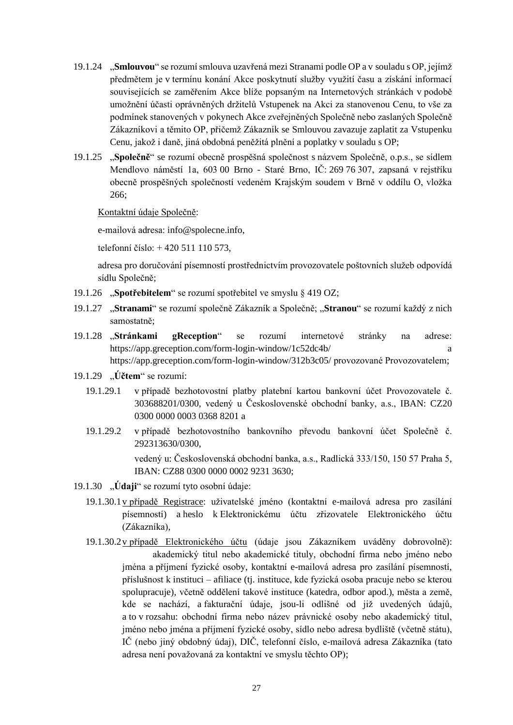- 19.1.24 "**Smlouvou**" se rozumí smlouva uzavřená mezi Stranami podle OP a v souladu s OP, jejímž předmětem je v termínu konání Akce poskytnutí služby využití času a získání informací souvisejících se zaměřením Akce blíže popsaným na Internetových stránkách v podobě umožnění účasti oprávněných držitelů Vstupenek na Akci za stanovenou Cenu, to vše za podmínek stanovených v pokynech Akce zveřejněných Společně nebo zaslaných Společně Zákazníkovi a těmito OP, přičemž Zákazník se Smlouvou zavazuje zaplatit za Vstupenku Cenu, jakož i daně, jiná obdobná peněžitá plnění a poplatky v souladu s OP;
- 19.1.25 "**Společně**" se rozumí obecně prospěšná společnost s názvem Společně, o.p.s., se sídlem Mendlovo náměstí 1a, 603 00 Brno - Staré Brno, IČ: 269 76 307, zapsaná v rejstříku obecně prospěšných společností vedeném Krajským soudem v Brně v oddílu O, vložka 266;

Kontaktní údaje Společně:

e-mailová adresa: info@spolecne.info,

telefonní číslo: + 420 511 110 573,

adresa pro doručování písemností prostřednictvím provozovatele poštovních služeb odpovídá sídlu Společně;

- 19.1.26 "**Spotřebitelem**" se rozumí spotřebitel ve smyslu § 419 OZ;
- 19.1.27 "**Stranami**" se rozumí společně Zákazník a Společně; "**Stranou**" se rozumí každý z nich samostatně;
- 19.1.28 "**Stránkami gReception**" se rozumí internetové stránky na adrese: https://app.greception.com/form-login-window/1c52dc4b/ a https://app.greception.com/form-login-window/312b3c05/ provozované Provozovatelem;
- 19.1.29 "**Účtem**" se rozumí:
	- 19.1.29.1 v případě bezhotovostní platby platební kartou bankovní účet Provozovatele č. 303688201/0300, vedený u Československé obchodní banky, a.s., IBAN: CZ20 0300 0000 0003 0368 8201 a
	- 19.1.29.2 v případě bezhotovostního bankovního převodu bankovní účet Společně č. 292313630/0300, vedený u: Československá obchodní banka, a.s., Radlická 333/150, 150 57 Praha 5,

IBAN: CZ88 0300 0000 0002 9231 3630;

- 19.1.30 "**Údaji**" se rozumí tyto osobní údaje:
	- 19.1.30.1v případě Registrace: uživatelské jméno (kontaktní e-mailová adresa pro zasílání písemností) a heslo k Elektronickému účtu zřizovatele Elektronického účtu (Zákazníka),
	- 19.1.30.2v případě Elektronického účtu (údaje jsou Zákazníkem uváděny dobrovolně): akademický titul nebo akademické tituly, obchodní firma nebo jméno nebo jména a příjmení fyzické osoby, kontaktní e-mailová adresa pro zasílání písemností, příslušnost k instituci – afiliace (tj. instituce, kde fyzická osoba pracuje nebo se kterou spolupracuje), včetně oddělení takové instituce (katedra, odbor apod.), města a země, kde se nachází, a fakturační údaje, jsou-li odlišné od již uvedených údajů, a to v rozsahu: obchodní firma nebo název právnické osoby nebo akademický titul, jméno nebo jména a příjmení fyzické osoby, sídlo nebo adresa bydliště (včetně státu), IČ (nebo jiný obdobný údaj), DIČ, telefonní číslo, e-mailová adresa Zákazníka (tato adresa není považovaná za kontaktní ve smyslu těchto OP);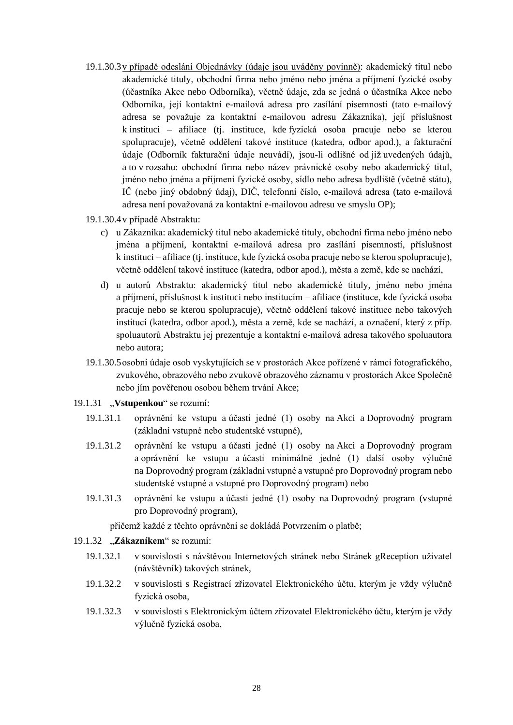19.1.30.3v případě odeslání Objednávky (údaje jsou uváděny povinně): akademický titul nebo akademické tituly, obchodní firma nebo jméno nebo jména a příjmení fyzické osoby (účastníka Akce nebo Odborníka), včetně údaje, zda se jedná o účastníka Akce nebo Odborníka, její kontaktní e-mailová adresa pro zasílání písemností (tato e-mailový adresa se považuje za kontaktní e-mailovou adresu Zákazníka), její příslušnost k instituci – afiliace (tj. instituce, kde fyzická osoba pracuje nebo se kterou spolupracuje), včetně oddělení takové instituce (katedra, odbor apod.), a fakturační údaje (Odborník fakturační údaje neuvádí), jsou-li odlišné od již uvedených údajů, a to v rozsahu: obchodní firma nebo název právnické osoby nebo akademický titul, jméno nebo jména a příjmení fyzické osoby, sídlo nebo adresa bydliště (včetně státu), IČ (nebo jiný obdobný údaj), DIČ, telefonní číslo, e-mailová adresa (tato e-mailová adresa není považovaná za kontaktní e-mailovou adresu ve smyslu OP);

#### 19.1.30.4v případě Abstraktu:

- c) u Zákazníka: akademický titul nebo akademické tituly, obchodní firma nebo jméno nebo jména a příjmení, kontaktní e-mailová adresa pro zasílání písemností, příslušnost k instituci – afiliace (tj. instituce, kde fyzická osoba pracuje nebo se kterou spolupracuje), včetně oddělení takové instituce (katedra, odbor apod.), města a země, kde se nachází,
- d) u autorů Abstraktu: akademický titul nebo akademické tituly, jméno nebo jména a příjmení, příslušnost k instituci nebo institucím – afiliace (instituce, kde fyzická osoba pracuje nebo se kterou spolupracuje), včetně oddělení takové instituce nebo takových institucí (katedra, odbor apod.), města a země, kde se nachází, a označení, který z příp. spoluautorů Abstraktu jej prezentuje a kontaktní e-mailová adresa takového spoluautora nebo autora;
- 19.1.30.5osobní údaje osob vyskytujících se v prostorách Akce pořízené v rámci fotografického, zvukového, obrazového nebo zvukově obrazového záznamu v prostorách Akce Společně nebo jím pověřenou osobou během trvání Akce;

#### 19.1.31 "**Vstupenkou**" se rozumí:

- 19.1.31.1 oprávnění ke vstupu a účasti jedné (1) osoby na Akci a Doprovodný program (základní vstupné nebo studentské vstupné),
- 19.1.31.2 oprávnění ke vstupu a účasti jedné (1) osoby na Akci a Doprovodný program a oprávnění ke vstupu a účasti minimálně jedné (1) další osoby výlučně na Doprovodný program (základní vstupné a vstupné pro Doprovodný program nebo studentské vstupné a vstupné pro Doprovodný program) nebo
- 19.1.31.3 oprávnění ke vstupu a účasti jedné (1) osoby na Doprovodný program (vstupné pro Doprovodný program),

přičemž každé z těchto oprávnění se dokládá Potvrzením o platbě;

## 19.1.32 "**Zákazníkem**" se rozumí:

- 19.1.32.1 v souvislosti s návštěvou Internetových stránek nebo Stránek gReception uživatel (návštěvník) takových stránek,
- 19.1.32.2 v souvislosti s Registrací zřizovatel Elektronického účtu, kterým je vždy výlučně fyzická osoba,
- 19.1.32.3 v souvislosti s Elektronickým účtem zřizovatel Elektronického účtu, kterým je vždy výlučně fyzická osoba,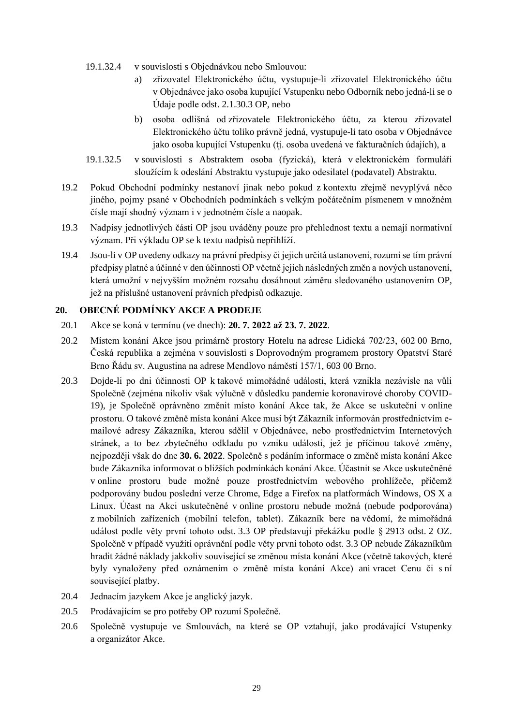- 19.1.32.4 v souvislosti s Objednávkou nebo Smlouvou:
	- a) zřizovatel Elektronického účtu, vystupuje-li zřizovatel Elektronického účtu v Objednávce jako osoba kupující Vstupenku nebo Odborník nebo jedná-li se o Údaje podle odst. 2.1.30.3 OP, nebo
	- b) osoba odlišná od zřizovatele Elektronického účtu, za kterou zřizovatel Elektronického účtu toliko právně jedná, vystupuje-li tato osoba v Objednávce jako osoba kupující Vstupenku (tj. osoba uvedená ve fakturačních údajích), a
- 19.1.32.5 v souvislosti s Abstraktem osoba (fyzická), která v elektronickém formuláři sloužícím k odeslání Abstraktu vystupuje jako odesilatel (podavatel) Abstraktu.
- 19.2 Pokud Obchodní podmínky nestanoví jinak nebo pokud z kontextu zřejmě nevyplývá něco jiného, pojmy psané v Obchodních podmínkách s velkým počátečním písmenem v množném čísle mají shodný význam i v jednotném čísle a naopak.
- 19.3 Nadpisy jednotlivých částí OP jsou uváděny pouze pro přehlednost textu a nemají normativní význam. Při výkladu OP se k textu nadpisů nepřihlíží.
- 19.4 Jsou-li v OP uvedeny odkazy na právní předpisy či jejich určitá ustanovení, rozumí se tím právní předpisy platné a účinné v den účinnosti OP včetně jejich následných změn a nových ustanovení, která umožní v nejvyšším možném rozsahu dosáhnout záměru sledovaného ustanovením OP, jež na příslušné ustanovení právních předpisů odkazuje.

## **20. OBECNÉ PODMÍNKY AKCE A PRODEJE**

- 20.1 Akce se koná v termínu (ve dnech): **20. 7. 2022 až 23. 7. 2022**.
- 20.2 Místem konání Akce jsou primárně prostory Hotelu na adrese Lidická 702/23, 602 00 Brno, Česká republika a zejména v souvislosti s Doprovodným programem prostory Opatství Staré Brno Řádu sv. Augustina na adrese Mendlovo náměstí 157/1, 603 00 Brno.
- 20.3 Dojde-li po dni účinnosti OP k takové mimořádné události, která vznikla nezávisle na vůli Společně (zejména nikoliv však výlučně v důsledku pandemie koronavirové choroby COVID-19), je Společně oprávněno změnit místo konání Akce tak, že Akce se uskuteční v online prostoru. O takové změně místa konání Akce musí být Zákazník informován prostřednictvím emailové adresy Zákazníka, kterou sdělil v Objednávce, nebo prostřednictvím Internetových stránek, a to bez zbytečného odkladu po vzniku události, jež je příčinou takové změny, nejpozději však do dne **30. 6. 2022**. Společně s podáním informace o změně místa konání Akce bude Zákazníka informovat o bližších podmínkách konání Akce. Účastnit se Akce uskutečněné v online prostoru bude možné pouze prostřednictvím webového prohlížeče, přičemž podporovány budou poslední verze Chrome, Edge a Firefox na platformách Windows, OS X a Linux. Účast na Akci uskutečněné v online prostoru nebude možná (nebude podporována) z mobilních zařízeních (mobilní telefon, tablet). Zákazník bere na vědomí, že mimořádná událost podle věty první tohoto odst. 3.3 OP představují překážku podle § 2913 odst. 2 OZ. Společně v případě využití oprávnění podle věty první tohoto odst. 3.3 OP nebude Zákazníkům hradit žádné náklady jakkoliv související se změnou místa konání Akce (včetně takových, které byly vynaloženy před oznámením o změně místa konání Akce) ani vracet Cenu či s ní související platby.
- 20.4 Jednacím jazykem Akce je anglický jazyk.
- 20.5 Prodávajícím se pro potřeby OP rozumí Společně.
- 20.6 Společně vystupuje ve Smlouvách, na které se OP vztahují, jako prodávající Vstupenky a organizátor Akce.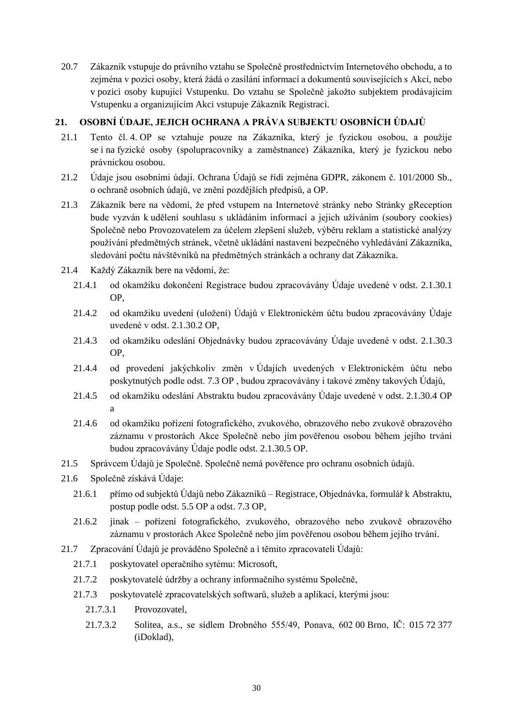20.7 Zákazník vstupuje do právního vztahu se Společně prostřednictvím Internetového obchodu, a to zejména v pozici osoby, která žádá o zasílání informací a dokumentů souvisejících s Akcí, nebo v pozici osoby kupující Vstupenku. Do vztahu se Společně jakožto subjektem prodávajícím Vstupenku a organizujícím Akci vstupuje Zákazník Registrací.

# **21. OSOBNÍ ÚDAJE, JEJICH OCHRANA A PRÁVA SUBJEKTU OSOBNÍCH ÚDAJŮ**

- 21.1 Tento čl. 4. OP se vztahuje pouze na Zákazníka, který je fyzickou osobou, a použije se i na fyzické osoby (spolupracovníky a zaměstnance) Zákazníka, který je fyzickou nebo právnickou osobou.
- 21.2 Údaje jsou osobními údaji. Ochrana Údajů se řídí zejména GDPR, zákonem č. 101/2000 Sb., o ochraně osobních údajů, ve znění pozdějších předpisů, a OP.
- 21.3 Zákazník bere na vědomí, že před vstupem na Internetové stránky nebo Stránky gReception bude vyzván k udělení souhlasu s ukládáním informací a jejich užíváním (soubory cookies) Společně nebo Provozovatelem za účelem zlepšení služeb, výběru reklam a statistické analýzy používání předmětných stránek, včetně ukládání nastavení bezpečného vyhledávání Zákazníka, sledování počtu návštěvníků na předmětných stránkách a ochrany dat Zákazníka.
- 21.4 Každý Zákazník bere na vědomí, že:
	- 21.4.1 od okamžiku dokončení Registrace budou zpracovávány Údaje uvedené v odst. 2.1.30.1 OP,
	- 21.4.2 od okamžiku uvedení (uložení) Údajů v Elektronickém účtu budou zpracovávány Údaje uvedené v odst. 2.1.30.2 OP,
	- 21.4.3 od okamžiku odeslání Objednávky budou zpracovávány Údaje uvedené v odst. 2.1.30.3 OP,
	- 21.4.4 od provedení jakýchkoliv změn v Údajích uvedených v Elektronickém účtu nebo poskytnutých podle odst. 7.3 OP , budou zpracovávány i takové změny takových Údajů,
	- 21.4.5 od okamžiku odeslání Abstraktu budou zpracovávány Údaje uvedené v odst. 2.1.30.4 OP a
	- 21.4.6 od okamžiku pořízení fotografického, zvukového, obrazového nebo zvukově obrazového záznamu v prostorách Akce Společně nebo jím pověřenou osobou během jejího trvání budou zpracovávány Údaje podle odst. 2.1.30.5 OP.
- 21.5 Správcem Údajů je Společně. Společně nemá pověřence pro ochranu osobních údajů.
- 21.6 Společně získává Údaje:
	- 21.6.1 přímo od subjektů Údajů nebo Zákazníků Registrace, Objednávka, formulář k Abstraktu, postup podle odst. 5.5 OP a odst. 7.3 OP,
	- 21.6.2 jinak pořízení fotografického, zvukového, obrazového nebo zvukově obrazového záznamu v prostorách Akce Společně nebo jím pověřenou osobou během jejího trvání.
- 21.7 Zpracování Údajů je prováděno Společně a i těmito zpracovateli Údajů:
	- 21.7.1 poskytovatel operačního sytému: Microsoft,
	- 21.7.2 poskytovatelé údržby a ochrany informačního systému Společně,
	- 21.7.3 poskytovatelé zpracovatelských softwarů, služeb a aplikací, kterými jsou:
		- 21.7.3.1 Provozovatel,
		- 21.7.3.2 Solitea, a.s., se sídlem Drobného 555/49, Ponava, 602 00 Brno, IČ: 015 72 377 (iDoklad),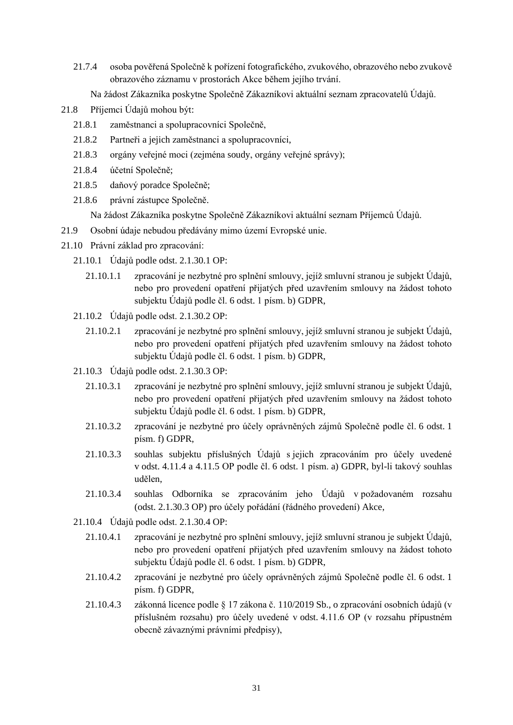- 21.7.4 osoba pověřená Společně k pořízení fotografického, zvukového, obrazového nebo zvukově obrazového záznamu v prostorách Akce během jejího trvání.
	- Na žádost Zákazníka poskytne Společně Zákazníkovi aktuální seznam zpracovatelů Údajů.
- 21.8 Příjemci Údajů mohou být:
	- 21.8.1 zaměstnanci a spolupracovníci Společně,
	- 21.8.2 Partneři a jejich zaměstnanci a spolupracovníci,
	- 21.8.3 orgány veřejné moci (zejména soudy, orgány veřejné správy);
	- 21.8.4 účetní Společně;
	- 21.8.5 daňový poradce Společně;
	- 21.8.6 právní zástupce Společně.

Na žádost Zákazníka poskytne Společně Zákazníkovi aktuální seznam Příjemců Údajů.

- 21.9 Osobní údaje nebudou předávány mimo území Evropské unie.
- 21.10 Právní základ pro zpracování:
	- 21.10.1 Údajů podle odst. 2.1.30.1 OP:
		- 21.10.1.1 zpracování je nezbytné pro splnění smlouvy, jejíž smluvní stranou je subjekt Údajů, nebo pro provedení opatření přijatých před uzavřením smlouvy na žádost tohoto subjektu Údajů podle čl. 6 odst. 1 písm. b) GDPR,
	- 21.10.2 Údajů podle odst. 2.1.30.2 OP:
		- 21.10.2.1 zpracování je nezbytné pro splnění smlouvy, jejíž smluvní stranou je subjekt Údajů, nebo pro provedení opatření přijatých před uzavřením smlouvy na žádost tohoto subjektu Údajů podle čl. 6 odst. 1 písm. b) GDPR,
	- 21.10.3 Údajů podle odst. 2.1.30.3 OP:
		- 21.10.3.1 zpracování je nezbytné pro splnění smlouvy, jejíž smluvní stranou je subjekt Údajů, nebo pro provedení opatření přijatých před uzavřením smlouvy na žádost tohoto subjektu Údajů podle čl. 6 odst. 1 písm. b) GDPR,
		- 21.10.3.2 zpracování je nezbytné pro účely oprávněných zájmů Společně podle čl. 6 odst. 1 písm. f) GDPR,
		- 21.10.3.3 souhlas subjektu příslušných Údajů s jejich zpracováním pro účely uvedené v odst. 4.11.4 a 4.11.5 OP podle čl. 6 odst. 1 písm. a) GDPR, byl-li takový souhlas udělen,
		- 21.10.3.4 souhlas Odborníka se zpracováním jeho Údajů v požadovaném rozsahu (odst. 2.1.30.3 OP) pro účely pořádání (řádného provedení) Akce,
	- 21.10.4 Údajů podle odst. 2.1.30.4 OP:
		- 21.10.4.1 zpracování je nezbytné pro splnění smlouvy, jejíž smluvní stranou je subjekt Údajů, nebo pro provedení opatření přijatých před uzavřením smlouvy na žádost tohoto subjektu Údajů podle čl. 6 odst. 1 písm. b) GDPR,
		- 21.10.4.2 zpracování je nezbytné pro účely oprávněných zájmů Společně podle čl. 6 odst. 1 písm. f) GDPR,
		- 21.10.4.3 zákonná licence podle § 17 zákona č. 110/2019 Sb., o zpracování osobních údajů (v příslušném rozsahu) pro účely uvedené v odst. 4.11.6 OP (v rozsahu přípustném obecně závaznými právními předpisy),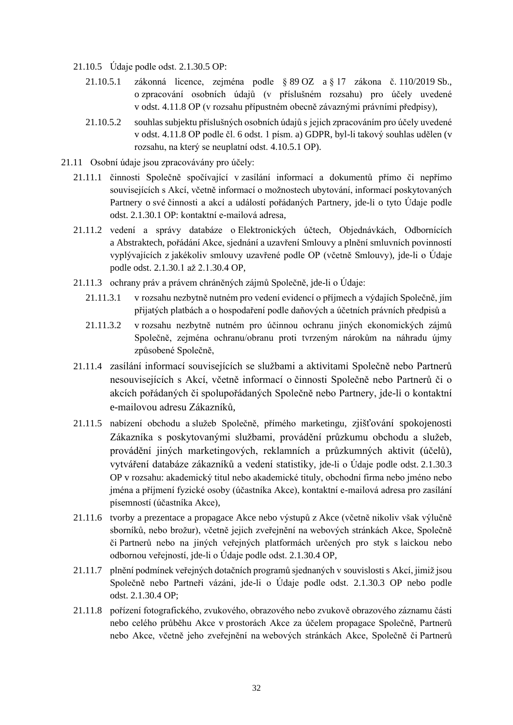- 21.10.5 Údaje podle odst. 2.1.30.5 OP:
	- 21.10.5.1 zákonná licence, zejména podle § 89 OZ a § 17 zákona č. 110/2019 Sb., o zpracování osobních údajů (v příslušném rozsahu) pro účely uvedené v odst. 4.11.8 OP (v rozsahu přípustném obecně závaznými právními předpisy),
	- 21.10.5.2 souhlas subjektu příslušných osobních údajů s jejich zpracováním pro účely uvedené v odst. 4.11.8 OP podle čl. 6 odst. 1 písm. a) GDPR, byl-li takový souhlas udělen (v rozsahu, na který se neuplatní odst. 4.10.5.1 OP).
- 21.11 Osobní údaje jsou zpracovávány pro účely:
	- 21.11.1 činnosti Společně spočívající v zasílání informací a dokumentů přímo či nepřímo souvisejících s Akcí, včetně informací o možnostech ubytování, informací poskytovaných Partnery o své činnosti a akcí a událostí pořádaných Partnery, jde-li o tyto Údaje podle odst. 2.1.30.1 OP: kontaktní e-mailová adresa,
	- 21.11.2 vedení a správy databáze o Elektronických účtech, Objednávkách, Odbornících a Abstraktech, pořádání Akce, sjednání a uzavření Smlouvy a plnění smluvních povinností vyplývajících z jakékoliv smlouvy uzavřené podle OP (včetně Smlouvy), jde-li o Údaje podle odst. 2.1.30.1 až 2.1.30.4 OP,
	- 21.11.3 ochrany práv a právem chráněných zájmů Společně, jde-li o Údaje:
		- 21.11.3.1 v rozsahu nezbytně nutném pro vedení evidencí o příjmech a výdajích Společně, jím přijatých platbách a o hospodaření podle daňových a účetních právních předpisů a
		- 21.11.3.2 v rozsahu nezbytně nutném pro účinnou ochranu jiných ekonomických zájmů Společně, zejména ochranu/obranu proti tvrzeným nárokům na náhradu újmy způsobené Společně,
	- 21.11.4 zasílání informací souvisejících se službami a aktivitami Společně nebo Partnerů nesouvisejících s Akcí, včetně informací o činnosti Společně nebo Partnerů či o akcích pořádaných či spolupořádaných Společně nebo Partnery, jde-li o kontaktní e-mailovou adresu Zákazníků,
	- 21.11.5 nabízení obchodu a služeb Společně, přímého marketingu, zjišťování spokojenosti Zákazníka s poskytovanými službami, provádění průzkumu obchodu a služeb, provádění jiných marketingových, reklamních a průzkumných aktivit (účelů), vytváření databáze zákazníků a vedení statistiky, jde-li o Údaje podle odst. 2.1.30.3 OP v rozsahu: akademický titul nebo akademické tituly, obchodní firma nebo jméno nebo jména a příjmení fyzické osoby (účastníka Akce), kontaktní e-mailová adresa pro zasílání písemností (účastníka Akce),
	- 21.11.6 tvorby a prezentace a propagace Akce nebo výstupů z Akce (včetně nikoliv však výlučně sborníků, nebo brožur), včetně jejich zveřejnění na webových stránkách Akce, Společně či Partnerů nebo na jiných veřejných platformách určených pro styk s laickou nebo odbornou veřejností, jde-li o Údaje podle odst. 2.1.30.4 OP,
	- 21.11.7 plnění podmínek veřejných dotačních programů sjednaných v souvislosti s Akcí, jimiž jsou Společně nebo Partneři vázáni, jde-li o Údaje podle odst. 2.1.30.3 OP nebo podle odst. 2.1.30.4 OP;
	- 21.11.8 pořízení fotografického, zvukového, obrazového nebo zvukově obrazového záznamu části nebo celého průběhu Akce v prostorách Akce za účelem propagace Společně, Partnerů nebo Akce, včetně jeho zveřejnění na webových stránkách Akce, Společně či Partnerů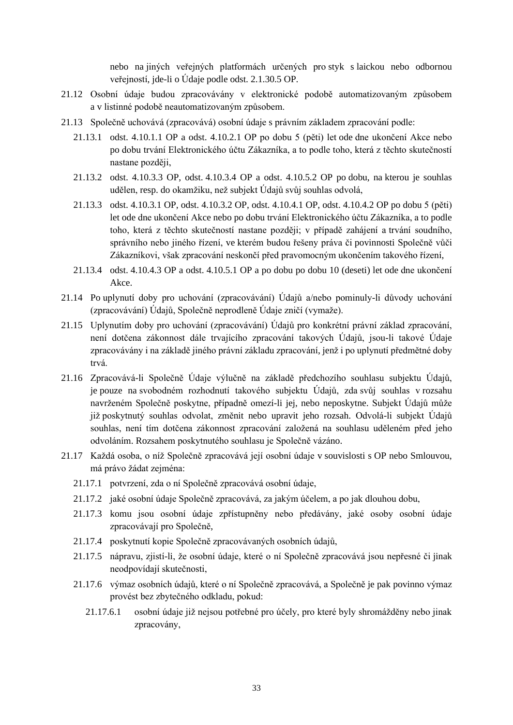nebo na jiných veřejných platformách určených pro styk s laickou nebo odbornou veřejností, jde-li o Údaje podle odst. 2.1.30.5 OP.

- 21.12 Osobní údaje budou zpracovávány v elektronické podobě automatizovaným způsobem a v listinné podobě neautomatizovaným způsobem.
- 21.13 Společně uchovává (zpracovává) osobní údaje s právním základem zpracování podle:
	- 21.13.1 odst. 4.10.1.1 OP a odst. 4.10.2.1 OP po dobu 5 (pěti) let ode dne ukončení Akce nebo po dobu trvání Elektronického účtu Zákazníka, a to podle toho, která z těchto skutečností nastane později,
	- 21.13.2 odst. 4.10.3.3 OP, odst. 4.10.3.4 OP a odst. 4.10.5.2 OP po dobu, na kterou je souhlas udělen, resp. do okamžiku, než subjekt Údajů svůj souhlas odvolá,
	- 21.13.3 odst. 4.10.3.1 OP, odst. 4.10.3.2 OP, odst. 4.10.4.1 OP, odst. 4.10.4.2 OP po dobu 5 (pěti) let ode dne ukončení Akce nebo po dobu trvání Elektronického účtu Zákazníka, a to podle toho, která z těchto skutečností nastane později; v případě zahájení a trvání soudního, správního nebo jiného řízení, ve kterém budou řešeny práva či povinnosti Společně vůči Zákazníkovi, však zpracování neskončí před pravomocným ukončením takového řízení,
	- 21.13.4 odst. 4.10.4.3 OP a odst. 4.10.5.1 OP a po dobu po dobu 10 (deseti) let ode dne ukončení Akce.
- 21.14 Po uplynutí doby pro uchování (zpracovávání) Údajů a/nebo pominuly-li důvody uchování (zpracovávání) Údajů, Společně neprodleně Údaje zničí (vymaže).
- 21.15 Uplynutím doby pro uchování (zpracovávání) Údajů pro konkrétní právní základ zpracování, není dotčena zákonnost dále trvajícího zpracování takových Údajů, jsou-li takové Údaje zpracovávány i na základě jiného právní základu zpracování, jenž i po uplynutí předmětné doby trvá.
- 21.16 Zpracovává-li Společně Údaje výlučně na základě předchozího souhlasu subjektu Údajů, je pouze na svobodném rozhodnutí takového subjektu Údajů, zda svůj souhlas v rozsahu navrženém Společně poskytne, případně omezí-li jej, nebo neposkytne. Subjekt Údajů může již poskytnutý souhlas odvolat, změnit nebo upravit jeho rozsah. Odvolá-li subjekt Údajů souhlas, není tím dotčena zákonnost zpracování založená na souhlasu uděleném před jeho odvoláním. Rozsahem poskytnutého souhlasu je Společně vázáno.
- 21.17 Každá osoba, o níž Společně zpracovává její osobní údaje v souvislosti s OP nebo Smlouvou, má právo žádat zejména:
	- 21.17.1 potvrzení, zda o ní Společně zpracovává osobní údaje,
	- 21.17.2 jaké osobní údaje Společně zpracovává, za jakým účelem, a po jak dlouhou dobu,
	- 21.17.3 komu jsou osobní údaje zpřístupněny nebo předávány, jaké osoby osobní údaje zpracovávají pro Společně,
	- 21.17.4 poskytnutí kopie Společně zpracovávaných osobních údajů,
	- 21.17.5 nápravu, zjistí-li, že osobní údaje, které o ní Společně zpracovává jsou nepřesné či jinak neodpovídají skutečnosti,
	- 21.17.6 výmaz osobních údajů, které o ní Společně zpracovává, a Společně je pak povinno výmaz provést bez zbytečného odkladu, pokud:
		- 21.17.6.1 osobní údaje již nejsou potřebné pro účely, pro které byly shromážděny nebo jinak zpracovány,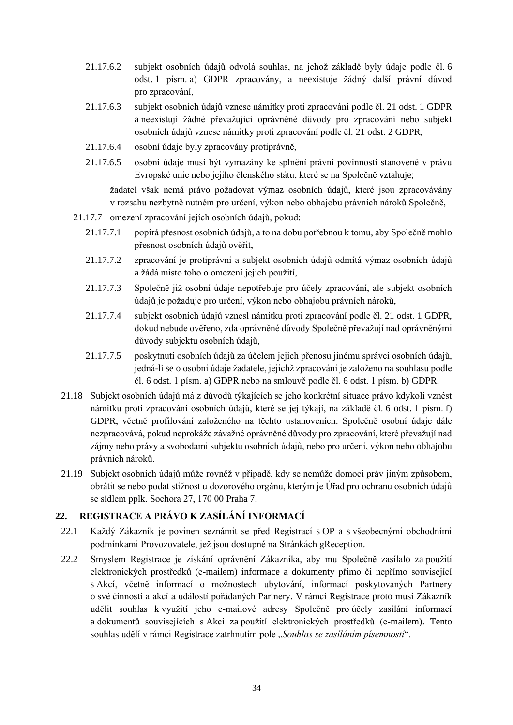- 21.17.6.2 subjekt osobních údajů odvolá souhlas, na jehož základě byly údaje podle čl. 6 odst. 1 písm. a) GDPR zpracovány, a neexistuje žádný další právní důvod pro zpracování,
- 21.17.6.3 subjekt osobních údajů vznese námitky proti zpracování podle čl. 21 odst. 1 GDPR a neexistují žádné převažující oprávněné důvody pro zpracování nebo subjekt osobních údajů vznese námitky proti zpracování podle čl. 21 odst. 2 GDPR,
- 21.17.6.4 osobní údaje byly zpracovány protiprávně,
- 21.17.6.5 osobní údaje musí být vymazány ke splnění právní povinnosti stanovené v právu Evropské unie nebo jejího členského státu, které se na Společně vztahuje;

žadatel však nemá právo požadovat výmaz osobních údajů, které jsou zpracovávány v rozsahu nezbytně nutném pro určení, výkon nebo obhajobu právních nároků Společně,

- 21.17.7 omezení zpracování jejích osobních údajů, pokud:
	- 21.17.7.1 popírá přesnost osobních údajů, a to na dobu potřebnou k tomu, aby Společně mohlo přesnost osobních údajů ověřit,
	- 21.17.7.2 zpracování je protiprávní a subjekt osobních údajů odmítá výmaz osobních údajů a žádá místo toho o omezení jejich použití,
	- 21.17.7.3 Společně již osobní údaje nepotřebuje pro účely zpracování, ale subjekt osobních údajů je požaduje pro určení, výkon nebo obhajobu právních nároků,
	- 21.17.7.4 subjekt osobních údajů vznesl námitku proti zpracování podle čl. 21 odst. 1 GDPR, dokud nebude ověřeno, zda oprávněné důvody Společně převažují nad oprávněnými důvody subjektu osobních údajů,
	- 21.17.7.5 poskytnutí osobních údajů za účelem jejich přenosu jinému správci osobních údajů, jedná-li se o osobní údaje žadatele, jejichž zpracování je založeno na souhlasu podle čl. 6 odst. 1 písm. a) GDPR nebo na smlouvě podle čl. 6 odst. 1 písm. b) GDPR.
- 21.18 Subjekt osobních údajů má z důvodů týkajících se jeho konkrétní situace právo kdykoli vznést námitku proti zpracování osobních údajů, které se jej týkají, na základě čl. 6 odst. 1 písm. f) GDPR, včetně profilování založeného na těchto ustanoveních. Společně osobní údaje dále nezpracovává, pokud neprokáže závažné oprávněné důvody pro zpracování, které převažují nad zájmy nebo právy a svobodami subjektu osobních údajů, nebo pro určení, výkon nebo obhajobu právních nároků.
- 21.19 Subjekt osobních údajů může rovněž v případě, kdy se nemůže domoci práv jiným způsobem, obrátit se nebo podat stížnost u dozorového orgánu, kterým je Úřad pro ochranu osobních údajů se sídlem pplk. Sochora 27, 170 00 Praha 7.

## **22. REGISTRACE A PRÁVO K ZASÍLÁNÍ INFORMACÍ**

- 22.1 Každý Zákazník je povinen seznámit se před Registrací s OP a s všeobecnými obchodními podmínkami Provozovatele, jež jsou dostupné na Stránkách gReception.
- 22.2 Smyslem Registrace je získání oprávnění Zákazníka, aby mu Společně zasílalo za použití elektronických prostředků (e-mailem) informace a dokumenty přímo či nepřímo související s Akcí, včetně informací o možnostech ubytování, informací poskytovaných Partnery o své činnosti a akcí a událostí pořádaných Partnery. V rámci Registrace proto musí Zákazník udělit souhlas k využití jeho e-mailové adresy Společně pro účely zasílání informací a dokumentů souvisejících s Akcí za použití elektronických prostředků (e-mailem). Tento souhlas udělí v rámci Registrace zatrhnutím pole "Souhlas se zasíláním písemností".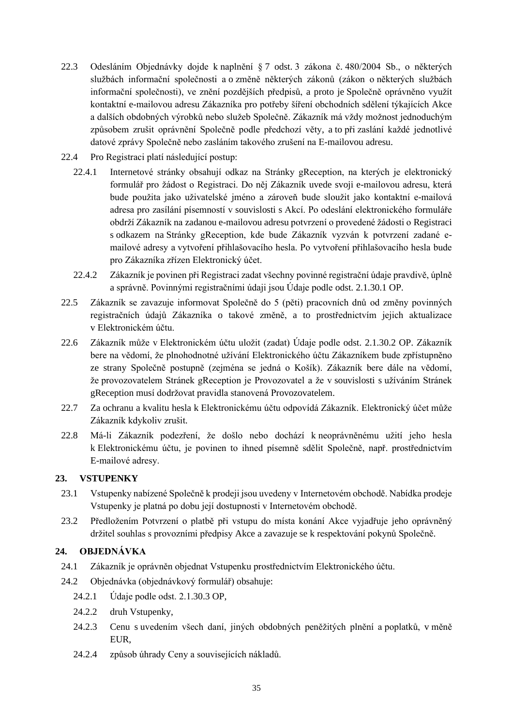- 22.3 Odesláním Objednávky dojde k naplnění § 7 odst. 3 zákona č. 480/2004 Sb., o některých službách informační společnosti a o změně některých zákonů (zákon o některých službách informační společnosti), ve znění pozdějších předpisů, a proto je Společně oprávněno využít kontaktní e-mailovou adresu Zákazníka pro potřeby šíření obchodních sdělení týkajících Akce a dalších obdobných výrobků nebo služeb Společně. Zákazník má vždy možnost jednoduchým způsobem zrušit oprávnění Společně podle předchozí věty, a to při zaslání každé jednotlivé datové zprávy Společně nebo zasláním takového zrušení na E-mailovou adresu.
- 22.4 Pro Registraci platí následující postup:
	- 22.4.1 Internetové stránky obsahují odkaz na Stránky gReception, na kterých je elektronický formulář pro žádost o Registraci. Do něj Zákazník uvede svoji e-mailovou adresu, která bude použita jako uživatelské jméno a zároveň bude sloužit jako kontaktní e-mailová adresa pro zasílání písemností v souvislosti s Akcí. Po odeslání elektronického formuláře obdrží Zákazník na zadanou e-mailovou adresu potvrzení o provedené žádosti o Registraci s odkazem na Stránky gReception, kde bude Zákazník vyzván k potvrzení zadané emailové adresy a vytvoření přihlašovacího hesla. Po vytvoření přihlašovacího hesla bude pro Zákazníka zřízen Elektronický účet.
	- 22.4.2 Zákazník je povinen při Registraci zadat všechny povinné registrační údaje pravdivě, úplně a správně. Povinnými registračními údaji jsou Údaje podle odst. 2.1.30.1 OP.
- 22.5 Zákazník se zavazuje informovat Společně do 5 (pěti) pracovních dnů od změny povinných registračních údajů Zákazníka o takové změně, a to prostřednictvím jejich aktualizace v Elektronickém účtu.
- 22.6 Zákazník může v Elektronickém účtu uložit (zadat) Údaje podle odst. 2.1.30.2 OP. Zákazník bere na vědomí, že plnohodnotné užívání Elektronického účtu Zákazníkem bude zpřístupněno ze strany Společně postupně (zejména se jedná o Košík). Zákazník bere dále na vědomí, že provozovatelem Stránek gReception je Provozovatel a že v souvislosti s užíváním Stránek gReception musí dodržovat pravidla stanovená Provozovatelem.
- 22.7 Za ochranu a kvalitu hesla k Elektronickému účtu odpovídá Zákazník. Elektronický účet může Zákazník kdykoliv zrušit.
- 22.8 Má-li Zákazník podezření, že došlo nebo dochází k neoprávněnému užití jeho hesla k Elektronickému účtu, je povinen to ihned písemně sdělit Společně, např. prostřednictvím E-mailové adresy.

## **23. VSTUPENKY**

- 23.1 Vstupenky nabízené Společně k prodeji jsou uvedeny v Internetovém obchodě. Nabídka prodeje Vstupenky je platná po dobu její dostupnosti v Internetovém obchodě.
- 23.2 Předložením Potvrzení o platbě při vstupu do místa konání Akce vyjadřuje jeho oprávněný držitel souhlas s provozními předpisy Akce a zavazuje se k respektování pokynů Společně.

## **24. OBJEDNÁVKA**

- 24.1 Zákazník je oprávněn objednat Vstupenku prostřednictvím Elektronického účtu.
- 24.2 Objednávka (objednávkový formulář) obsahuje:
	- 24.2.1 Údaje podle odst. 2.1.30.3 OP,
	- 24.2.2 druh Vstupenky,
	- 24.2.3 Cenu s uvedením všech daní, jiných obdobných peněžitých plnění a poplatků, v měně EUR,
	- 24.2.4 způsob úhrady Ceny a souvisejících nákladů.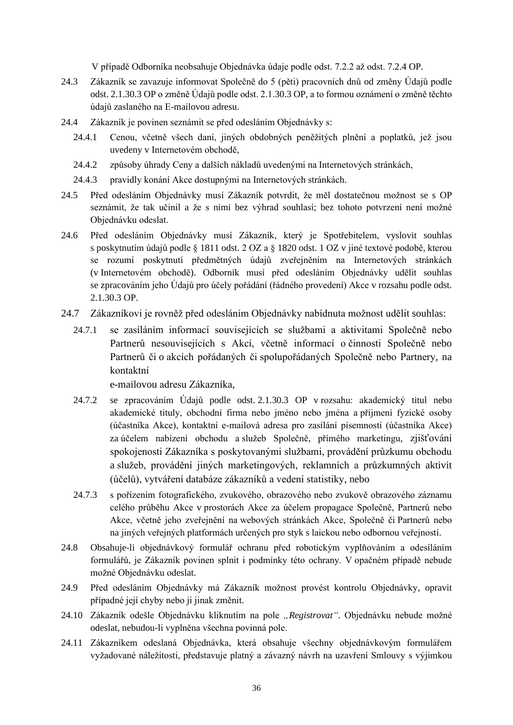V případě Odborníka neobsahuje Objednávka údaje podle odst. 7.2.2 až odst. 7.2.4 OP.

- 24.3 Zákazník se zavazuje informovat Společně do 5 (pěti) pracovních dnů od změny Údajů podle odst. 2.1.30.3 OP o změně Údajů podle odst. 2.1.30.3 OP, a to formou oznámení o změně těchto údajů zaslaného na E-mailovou adresu.
- 24.4 Zákazník je povinen seznámit se před odesláním Objednávky s:
	- 24.4.1 Cenou, včetně všech daní, jiných obdobných peněžitých plnění a poplatků, jež jsou uvedeny v Internetovém obchodě,
	- 24.4.2 způsoby úhrady Ceny a dalších nákladů uvedenými na Internetových stránkách,
	- 24.4.3 pravidly konání Akce dostupnými na Internetových stránkách.
- 24.5 Před odesláním Objednávky musí Zákazník potvrdit, že měl dostatečnou možnost se s OP seznámit, že tak učinil a že s nimi bez výhrad souhlasí; bez tohoto potvrzení není možné Objednávku odeslat.
- 24.6 Před odesláním Objednávky musí Zákazník, který je Spotřebitelem, vyslovit souhlas s poskytnutím údajů podle § 1811 odst. 2 OZ a § 1820 odst. 1 OZ v jiné textové podobě, kterou se rozumí poskytnutí předmětných údajů zveřejněním na Internetových stránkách (v Internetovém obchodě). Odborník musí před odesláním Objednávky udělit souhlas se zpracováním jeho Údajů pro účely pořádání (řádného provedení) Akce v rozsahu podle odst. 2.1.30.3 OP.
- 24.7 Zákazníkovi je rovněž před odesláním Objednávky nabídnuta možnost udělit souhlas:
	- 24.7.1 se zasíláním informací souvisejících se službami a aktivitami Společně nebo Partnerů nesouvisejících s Akcí, včetně informací o činnosti Společně nebo Partnerů či o akcích pořádaných či spolupořádaných Společně nebo Partnery, na kontaktní

e-mailovou adresu Zákazníka,

- 24.7.2 se zpracováním Údajů podle odst. 2.1.30.3 OP v rozsahu: akademický titul nebo akademické tituly, obchodní firma nebo jméno nebo jména a příjmení fyzické osoby (účastníka Akce), kontaktní e-mailová adresa pro zasílání písemností (účastníka Akce) za účelem nabízení obchodu a služeb Společně, přímého marketingu, zjišťování spokojenosti Zákazníka s poskytovanými službami, provádění průzkumu obchodu a služeb, provádění jiných marketingových, reklamních a průzkumných aktivit (účelů), vytváření databáze zákazníků a vedení statistiky, nebo
- 24.7.3 s pořízením fotografického, zvukového, obrazového nebo zvukově obrazového záznamu celého průběhu Akce v prostorách Akce za účelem propagace Společně, Partnerů nebo Akce, včetně jeho zveřejnění na webových stránkách Akce, Společně či Partnerů nebo na jiných veřejných platformách určených pro styk s laickou nebo odbornou veřejností.
- 24.8 Obsahuje-li objednávkový formulář ochranu před robotickým vyplňováním a odesíláním formulářů, je Zákazník povinen splnit i podmínky této ochrany. V opačném případě nebude možné Objednávku odeslat.
- 24.9 Před odesláním Objednávky má Zákazník možnost provést kontrolu Objednávky, opravit případné její chyby nebo ji jinak změnit.
- 24.10 Zákazník odešle Objednávku kliknutím na pole *"Registrovat"*. Objednávku nebude možné odeslat, nebudou-li vyplněna všechna povinná pole.
- 24.11 Zákazníkem odeslaná Objednávka, která obsahuje všechny objednávkovým formulářem vyžadované náležitosti, představuje platný a závazný návrh na uzavření Smlouvy s výjimkou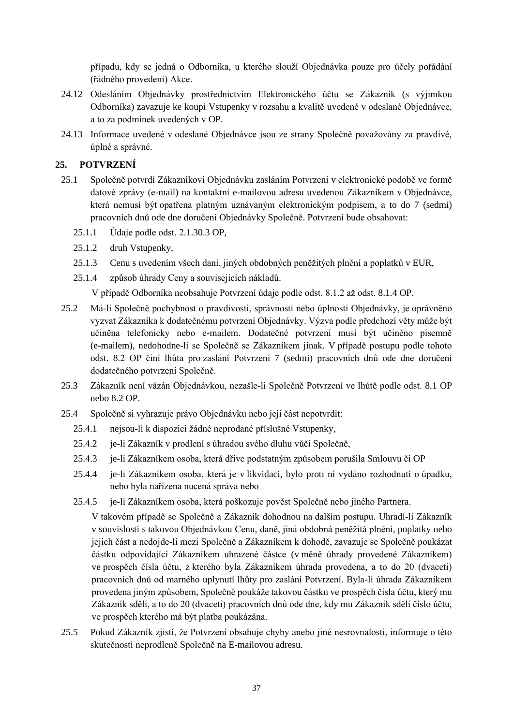případu, kdy se jedná o Odborníka, u kterého slouží Objednávka pouze pro účely pořádání (řádného provedení) Akce.

- 24.12 Odesláním Objednávky prostřednictvím Elektronického účtu se Zákazník (s výjimkou Odborníka) zavazuje ke koupi Vstupenky v rozsahu a kvalitě uvedené v odeslané Objednávce, a to za podmínek uvedených v OP.
- 24.13 Informace uvedené v odeslané Objednávce jsou ze strany Společně považovány za pravdivé, úplné a správné.

# **25. POTVRZENÍ**

- 25.1 Společně potvrdí Zákazníkovi Objednávku zasláním Potvrzení v elektronické podobě ve formě datové zprávy (e-mail) na kontaktní e-mailovou adresu uvedenou Zákazníkem v Objednávce, která nemusí být opatřena platným uznávaným elektronickým podpisem, a to do 7 (sedmi) pracovních dnů ode dne doručení Objednávky Společně. Potvrzení bude obsahovat:
	- 25.1.1 Údaje podle odst. 2.1.30.3 OP,
	- 25.1.2 druh Vstupenky,
	- 25.1.3 Cenu s uvedením všech daní, jiných obdobných peněžitých plnění a poplatků v EUR,
	- 25.1.4 způsob úhrady Ceny a souvisejících nákladů.

V případě Odborníka neobsahuje Potvrzení údaje podle odst. 8.1.2 až odst. 8.1.4 OP.

- 25.2 Má-li Společně pochybnost o pravdivosti, správnosti nebo úplnosti Objednávky, je oprávněno vyzvat Zákazníka k dodatečnému potvrzení Objednávky. Výzva podle předchozí věty může být učiněna telefonicky nebo e-mailem. Dodatečné potvrzení musí být učiněno písemně (e-mailem), nedohodne-li se Společně se Zákazníkem jinak. V případě postupu podle tohoto odst. 8.2 OP činí lhůta pro zaslání Potvrzení 7 (sedmi) pracovních dnů ode dne doručení dodatečného potvrzení Společně.
- 25.3 Zákazník není vázán Objednávkou, nezašle-li Společně Potvrzení ve lhůtě podle odst. 8.1 OP nebo 8.2 OP.
- 25.4 Společně si vyhrazuje právo Objednávku nebo její část nepotvrdit:
	- 25.4.1 nejsou-li k dispozici žádné neprodané příslušné Vstupenky,
	- 25.4.2 je-li Zákazník v prodlení s úhradou svého dluhu vůči Společně,
	- 25.4.3 je-li Zákazníkem osoba, která dříve podstatným způsobem porušila Smlouvu či OP
	- 25.4.4 je-li Zákazníkem osoba, která je v likvidaci, bylo proti ní vydáno rozhodnutí o úpadku, nebo byla nařízena nucená správa nebo
	- 25.4.5 je-li Zákazníkem osoba, která poškozuje pověst Společně nebo jiného Partnera.

V takovém případě se Společně a Zákazník dohodnou na dalším postupu. Uhradí-li Zákazník v souvislosti s takovou Objednávkou Cenu, daně, jiná obdobná peněžitá plnění, poplatky nebo jejich část a nedojde-li mezi Společně a Zákazníkem k dohodě, zavazuje se Společně poukázat částku odpovídající Zákazníkem uhrazené částce (v měně úhrady provedené Zákazníkem) ve prospěch čísla účtu, z kterého byla Zákazníkem úhrada provedena, a to do 20 (dvaceti) pracovních dnů od marného uplynutí lhůty pro zaslání Potvrzení. Byla-li úhrada Zákazníkem provedena jiným způsobem, Společně poukáže takovou částku ve prospěch čísla účtu, který mu Zákazník sdělí, a to do 20 (dvaceti) pracovních dnů ode dne, kdy mu Zákazník sdělí číslo účtu, ve prospěch kterého má být platba poukázána.

25.5 Pokud Zákazník zjistí, že Potvrzení obsahuje chyby anebo jiné nesrovnalosti, informuje o této skutečnosti neprodleně Společně na E-mailovou adresu.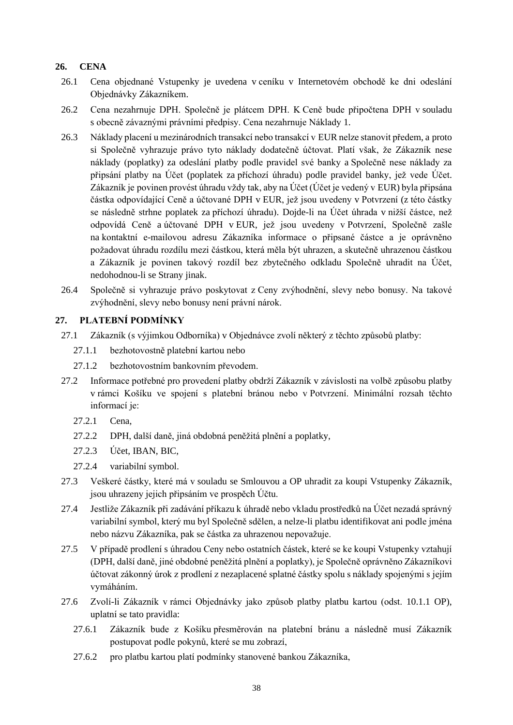# **26. CENA**

- 26.1 Cena objednané Vstupenky je uvedena v ceníku v Internetovém obchodě ke dni odeslání Objednávky Zákazníkem.
- 26.2 Cena nezahrnuje DPH. Společně je plátcem DPH. K Ceně bude připočtena DPH v souladu s obecně závaznými právními předpisy. Cena nezahrnuje Náklady 1.
- 26.3 Náklady placení u mezinárodních transakcí nebo transakcí v EUR nelze stanovit předem, a proto si Společně vyhrazuje právo tyto náklady dodatečně účtovat. Platí však, že Zákazník nese náklady (poplatky) za odeslání platby podle pravidel své banky a Společně nese náklady za připsání platby na Účet (poplatek za příchozí úhradu) podle pravidel banky, jež vede Účet. Zákazník je povinen provést úhradu vždy tak, aby na Účet (Účet je vedený v EUR) byla připsána částka odpovídající Ceně a účtované DPH v EUR, jež jsou uvedeny v Potvrzení (z této částky se následně strhne poplatek za příchozí úhradu). Dojde-li na Účet úhrada v nižší částce, než odpovídá Ceně a účtované DPH v EUR, jež jsou uvedeny v Potvrzení, Společně zašle na kontaktní e-mailovou adresu Zákazníka informace o připsané částce a je oprávněno požadovat úhradu rozdílu mezi částkou, která měla být uhrazen, a skutečně uhrazenou částkou a Zákazník je povinen takový rozdíl bez zbytečného odkladu Společně uhradit na Účet, nedohodnou-li se Strany jinak.
- 26.4 Společně si vyhrazuje právo poskytovat z Ceny zvýhodnění, slevy nebo bonusy. Na takové zvýhodnění, slevy nebo bonusy není právní nárok.

## **27. PLATEBNÍ PODMÍNKY**

- 27.1 Zákazník (s výjimkou Odborníka) v Objednávce zvolí některý z těchto způsobů platby:
	- 27.1.1 bezhotovostně platební kartou nebo
	- 27.1.2 bezhotovostním bankovním převodem.
- 27.2 Informace potřebné pro provedení platby obdrží Zákazník v závislosti na volbě způsobu platby v rámci Košíku ve spojení s platební bránou nebo v Potvrzení. Minimální rozsah těchto informací je:
	- 27.2.1 Cena,
	- 27.2.2 DPH, další daně, jiná obdobná peněžitá plnění a poplatky,
	- 27.2.3 Účet, IBAN, BIC,
	- 27.2.4 variabilní symbol.
- 27.3 Veškeré částky, které má v souladu se Smlouvou a OP uhradit za koupi Vstupenky Zákazník, jsou uhrazeny jejich připsáním ve prospěch Účtu.
- 27.4 Jestliže Zákazník při zadávání příkazu k úhradě nebo vkladu prostředků na Účet nezadá správný variabilní symbol, který mu byl Společně sdělen, a nelze-li platbu identifikovat ani podle jména nebo názvu Zákazníka, pak se částka za uhrazenou nepovažuje.
- 27.5 V případě prodlení s úhradou Ceny nebo ostatních částek, které se ke koupi Vstupenky vztahují (DPH, další daně, jiné obdobné peněžitá plnění a poplatky), je Společně oprávněno Zákazníkovi účtovat zákonný úrok z prodlení z nezaplacené splatné částky spolu s náklady spojenými s jejím vymáháním.
- 27.6 Zvolí-li Zákazník v rámci Objednávky jako způsob platby platbu kartou (odst. 10.1.1 OP), uplatní se tato pravidla:
	- 27.6.1 Zákazník bude z Košíku přesměrován na platební bránu a následně musí Zákazník postupovat podle pokynů, které se mu zobrazí,
	- 27.6.2 pro platbu kartou platí podmínky stanovené bankou Zákazníka,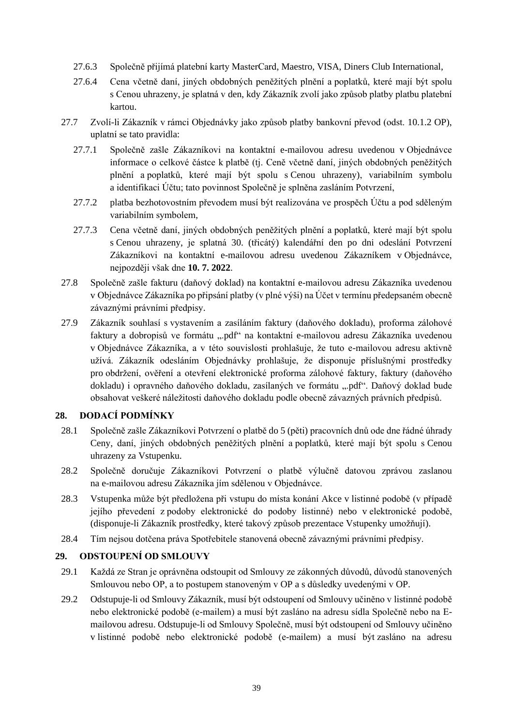- 27.6.3 Společně přijímá platební karty MasterCard, Maestro, VISA, Diners Club International,
- 27.6.4 Cena včetně daní, jiných obdobných peněžitých plnění a poplatků, které mají být spolu s Cenou uhrazeny, je splatná v den, kdy Zákazník zvolí jako způsob platby platbu platební kartou.
- 27.7 Zvolí-li Zákazník v rámci Objednávky jako způsob platby bankovní převod (odst. 10.1.2 OP), uplatní se tato pravidla:
	- 27.7.1 Společně zašle Zákazníkovi na kontaktní e-mailovou adresu uvedenou v Objednávce informace o celkové částce k platbě (tj. Ceně včetně daní, jiných obdobných peněžitých plnění a poplatků, které mají být spolu s Cenou uhrazeny), variabilním symbolu a identifikaci Účtu; tato povinnost Společně je splněna zasláním Potvrzení,
	- 27.7.2 platba bezhotovostním převodem musí být realizována ve prospěch Účtu a pod sděleným variabilním symbolem,
	- 27.7.3 Cena včetně daní, jiných obdobných peněžitých plnění a poplatků, které mají být spolu s Cenou uhrazeny, je splatná 30. (třicátý) kalendářní den po dni odeslání Potvrzení Zákazníkovi na kontaktní e-mailovou adresu uvedenou Zákazníkem v Objednávce, nejpozději však dne **10. 7. 2022**.
- 27.8 Společně zašle fakturu (daňový doklad) na kontaktní e-mailovou adresu Zákazníka uvedenou v Objednávce Zákazníka po připsání platby (v plné výši) na Účet v termínu předepsaném obecně závaznými právními předpisy.
- 27.9 Zákazník souhlasí s vystavením a zasíláním faktury (daňového dokladu), proforma zálohové faktury a dobropisů ve formátu ".pdf" na kontaktní e-mailovou adresu Zákazníka uvedenou v Objednávce Zákazníka, a v této souvislosti prohlašuje, že tuto e-mailovou adresu aktivně užívá. Zákazník odesláním Objednávky prohlašuje, že disponuje příslušnými prostředky pro obdržení, ověření a otevření elektronické proforma zálohové faktury, faktury (daňového dokladu) i opravného daňového dokladu, zasílaných ve formátu "pdf". Daňový doklad bude obsahovat veškeré náležitosti daňového dokladu podle obecně závazných právních předpisů.

# **28. DODACÍ PODMÍNKY**

- 28.1 Společně zašle Zákazníkovi Potvrzení o platbě do 5 (pěti) pracovních dnů ode dne řádné úhrady Ceny, daní, jiných obdobných peněžitých plnění a poplatků, které mají být spolu s Cenou uhrazeny za Vstupenku.
- 28.2 Společně doručuje Zákazníkovi Potvrzení o platbě výlučně datovou zprávou zaslanou na e-mailovou adresu Zákazníka jím sdělenou v Objednávce.
- 28.3 Vstupenka může být předložena při vstupu do místa konání Akce v listinné podobě (v případě jejího převedení z podoby elektronické do podoby listinné) nebo v elektronické podobě, (disponuje-li Zákazník prostředky, které takový způsob prezentace Vstupenky umožňují).
- 28.4 Tím nejsou dotčena práva Spotřebitele stanovená obecně závaznými právními předpisy.

## **29. ODSTOUPENÍ OD SMLOUVY**

- 29.1 Každá ze Stran je oprávněna odstoupit od Smlouvy ze zákonných důvodů, důvodů stanovených Smlouvou nebo OP, a to postupem stanoveným v OP a s důsledky uvedenými v OP.
- 29.2 Odstupuje-li od Smlouvy Zákazník, musí být odstoupení od Smlouvy učiněno v listinné podobě nebo elektronické podobě (e-mailem) a musí být zasláno na adresu sídla Společně nebo na Emailovou adresu. Odstupuje-li od Smlouvy Společně, musí být odstoupení od Smlouvy učiněno v listinné podobě nebo elektronické podobě (e-mailem) a musí být zasláno na adresu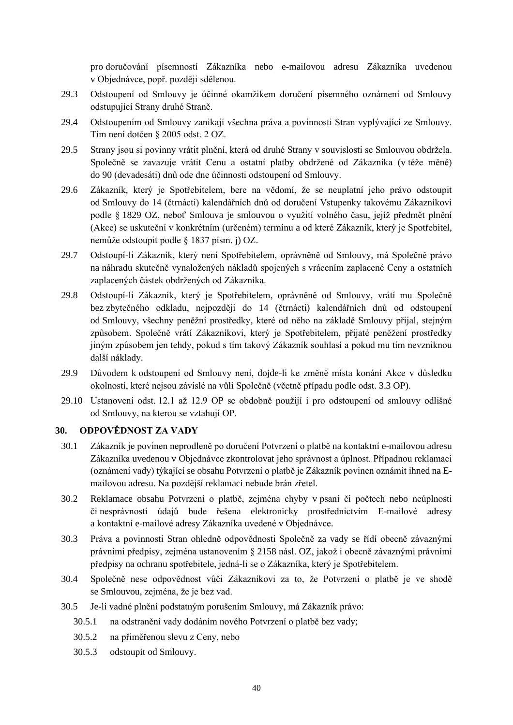pro doručování písemností Zákazníka nebo e-mailovou adresu Zákazníka uvedenou v Objednávce, popř. později sdělenou.

- 29.3 Odstoupení od Smlouvy je účinné okamžikem doručení písemného oznámení od Smlouvy odstupující Strany druhé Straně.
- 29.4 Odstoupením od Smlouvy zanikají všechna práva a povinnosti Stran vyplývající ze Smlouvy. Tím není dotčen § 2005 odst. 2 OZ.
- 29.5 Strany jsou si povinny vrátit plnění, která od druhé Strany v souvislosti se Smlouvou obdržela. Společně se zavazuje vrátit Cenu a ostatní platby obdržené od Zákazníka (v téže měně) do 90 (devadesáti) dnů ode dne účinnosti odstoupení od Smlouvy.
- 29.6 Zákazník, který je Spotřebitelem, bere na vědomí, že se neuplatní jeho právo odstoupit od Smlouvy do 14 (čtrnácti) kalendářních dnů od doručení Vstupenky takovému Zákazníkovi podle § 1829 OZ, neboť Smlouva je smlouvou o využití volného času, jejíž předmět plnění (Akce) se uskuteční v konkrétním (určeném) termínu a od které Zákazník, který je Spotřebitel, nemůže odstoupit podle § 1837 písm. j) OZ.
- 29.7 Odstoupí-li Zákazník, který není Spotřebitelem, oprávněně od Smlouvy, má Společně právo na náhradu skutečně vynaložených nákladů spojených s vrácením zaplacené Ceny a ostatních zaplacených částek obdržených od Zákazníka.
- 29.8 Odstoupí-li Zákazník, který je Spotřebitelem, oprávněně od Smlouvy, vrátí mu Společně bez zbytečného odkladu, nejpozději do 14 (čtrnácti) kalendářních dnů od odstoupení od Smlouvy, všechny peněžní prostředky, které od něho na základě Smlouvy přijal, stejným způsobem. Společně vrátí Zákazníkovi, který je Spotřebitelem, přijaté peněžení prostředky jiným způsobem jen tehdy, pokud s tím takový Zákazník souhlasí a pokud mu tím nevzniknou další náklady.
- 29.9 Důvodem k odstoupení od Smlouvy není, dojde-li ke změně místa konání Akce v důsledku okolností, které nejsou závislé na vůli Společně (včetně případu podle odst. 3.3 OP).
- 29.10 Ustanovení odst. 12.1 až 12.9 OP se obdobně použijí i pro odstoupení od smlouvy odlišné od Smlouvy, na kterou se vztahují OP.

## **30. ODPOVĚDNOST ZA VADY**

- 30.1 Zákazník je povinen neprodleně po doručení Potvrzení o platbě na kontaktní e-mailovou adresu Zákazníka uvedenou v Objednávce zkontrolovat jeho správnost a úplnost. Případnou reklamaci (oznámení vady) týkající se obsahu Potvrzení o platbě je Zákazník povinen oznámit ihned na Emailovou adresu. Na pozdější reklamaci nebude brán zřetel.
- 30.2 Reklamace obsahu Potvrzení o platbě, zejména chyby v psaní či počtech nebo neúplnosti či nesprávnosti údajů bude řešena elektronicky prostřednictvím E-mailové adresy a kontaktní e-mailové adresy Zákazníka uvedené v Objednávce.
- 30.3 Práva a povinnosti Stran ohledně odpovědnosti Společně za vady se řídí obecně závaznými právními předpisy, zejména ustanovením § 2158 násl. OZ, jakož i obecně závaznými právními předpisy na ochranu spotřebitele, jedná-li se o Zákazníka, který je Spotřebitelem.
- 30.4 Společně nese odpovědnost vůči Zákazníkovi za to, že Potvrzení o platbě je ve shodě se Smlouvou, zejména, že je bez vad.
- 30.5 Je-li vadné plnění podstatným porušením Smlouvy, má Zákazník právo:
	- 30.5.1 na odstranění vady dodáním nového Potvrzení o platbě bez vady;
	- 30.5.2 na přiměřenou slevu z Ceny, nebo
	- 30.5.3 odstoupit od Smlouvy.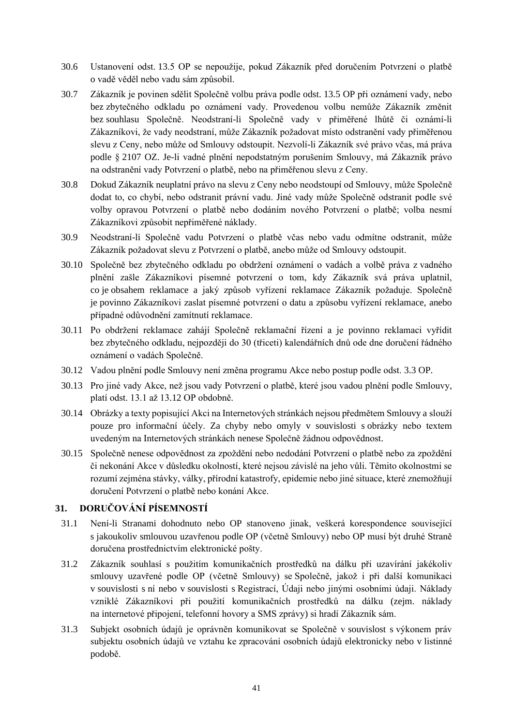- 30.6 Ustanovení odst. 13.5 OP se nepoužije, pokud Zákazník před doručením Potvrzení o platbě o vadě věděl nebo vadu sám způsobil.
- 30.7 Zákazník je povinen sdělit Společně volbu práva podle odst. 13.5 OP při oznámení vady, nebo bez zbytečného odkladu po oznámení vady. Provedenou volbu nemůže Zákazník změnit bez souhlasu Společně. Neodstraní-li Společně vady v přiměřené lhůtě či oznámí-li Zákazníkovi, že vady neodstraní, může Zákazník požadovat místo odstranění vady přiměřenou slevu z Ceny, nebo může od Smlouvy odstoupit. Nezvolí-li Zákazník své právo včas, má práva podle § 2107 OZ. Je-li vadné plnění nepodstatným porušením Smlouvy, má Zákazník právo na odstranění vady Potvrzení o platbě, nebo na přiměřenou slevu z Ceny.
- 30.8 Dokud Zákazník neuplatní právo na slevu z Ceny nebo neodstoupí od Smlouvy, může Společně dodat to, co chybí, nebo odstranit právní vadu. Jiné vady může Společně odstranit podle své volby opravou Potvrzení o platbě nebo dodáním nového Potvrzení o platbě; volba nesmí Zákazníkovi způsobit nepřiměřené náklady.
- 30.9 Neodstraní-li Společně vadu Potvrzení o platbě včas nebo vadu odmítne odstranit, může Zákazník požadovat slevu z Potvrzení o platbě, anebo může od Smlouvy odstoupit.
- 30.10 Společně bez zbytečného odkladu po obdržení oznámení o vadách a volbě práva z vadného plnění zašle Zákazníkovi písemné potvrzení o tom, kdy Zákazník svá práva uplatnil, co je obsahem reklamace a jaký způsob vyřízení reklamace Zákazník požaduje. Společně je povinno Zákazníkovi zaslat písemné potvrzení o datu a způsobu vyřízení reklamace, anebo případné odůvodnění zamítnutí reklamace.
- 30.11 Po obdržení reklamace zahájí Společně reklamační řízení a je povinno reklamaci vyřídit bez zbytečného odkladu, nejpozději do 30 (třiceti) kalendářních dnů ode dne doručení řádného oznámení o vadách Společně.
- 30.12 Vadou plnění podle Smlouvy není změna programu Akce nebo postup podle odst. 3.3 OP.
- 30.13 Pro jiné vady Akce, než jsou vady Potvrzení o platbě, které jsou vadou plnění podle Smlouvy, platí odst. 13.1 až 13.12 OP obdobně.
- 30.14 Obrázky a texty popisující Akci na Internetových stránkách nejsou předmětem Smlouvy a slouží pouze pro informační účely. Za chyby nebo omyly v souvislosti s obrázky nebo textem uvedeným na Internetových stránkách nenese Společně žádnou odpovědnost.
- 30.15 Společně nenese odpovědnost za zpoždění nebo nedodání Potvrzení o platbě nebo za zpoždění či nekonání Akce v důsledku okolností, které nejsou závislé na jeho vůli. Těmito okolnostmi se rozumí zejména stávky, války, přírodní katastrofy, epidemie nebo jiné situace, které znemožňují doručení Potvrzení o platbě nebo konání Akce.

## **31. DORUČOVÁNÍ PÍSEMNOSTÍ**

- 31.1 Není-li Stranami dohodnuto nebo OP stanoveno jinak, veškerá korespondence související s jakoukoliv smlouvou uzavřenou podle OP (včetně Smlouvy) nebo OP musí být druhé Straně doručena prostřednictvím elektronické pošty.
- 31.2 Zákazník souhlasí s použitím komunikačních prostředků na dálku při uzavírání jakékoliv smlouvy uzavřené podle OP (včetně Smlouvy) se Společně, jakož i při další komunikaci v souvislosti s ní nebo v souvislosti s Registrací, Údaji nebo jinými osobními údaji. Náklady vzniklé Zákazníkovi při použití komunikačních prostředků na dálku (zejm. náklady na internetové připojení, telefonní hovory a SMS zprávy) si hradí Zákazník sám.
- 31.3 Subjekt osobních údajů je oprávněn komunikovat se Společně v souvislost s výkonem práv subjektu osobních údajů ve vztahu ke zpracování osobních údajů elektronicky nebo v listinné podobě.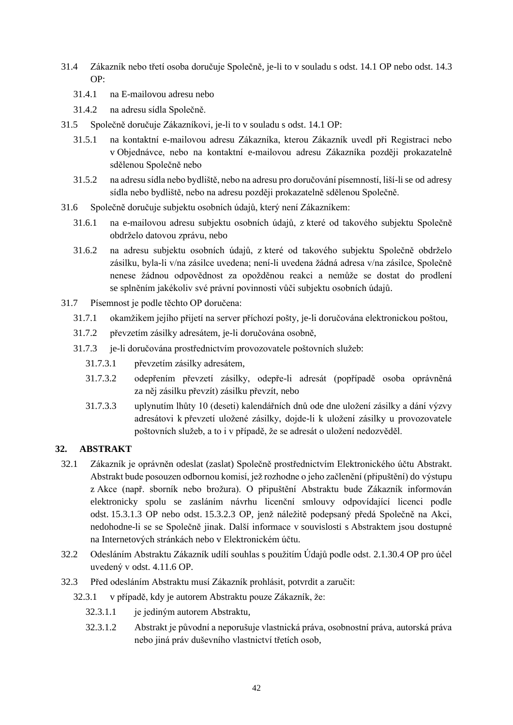- 31.4 Zákazník nebo třetí osoba doručuje Společně, je-li to v souladu s odst. 14.1 OP nebo odst. 14.3 OP:
	- 31.4.1 na E-mailovou adresu nebo
	- 31.4.2 na adresu sídla Společně.
- 31.5 Společně doručuje Zákazníkovi, je-li to v souladu s odst. 14.1 OP:
	- 31.5.1 na kontaktní e-mailovou adresu Zákazníka, kterou Zákazník uvedl při Registraci nebo v Objednávce, nebo na kontaktní e-mailovou adresu Zákazníka později prokazatelně sdělenou Společně nebo
	- 31.5.2 na adresu sídla nebo bydliště, nebo na adresu pro doručování písemností, liší-li se od adresy sídla nebo bydliště, nebo na adresu později prokazatelně sdělenou Společně.
- 31.6 Společně doručuje subjektu osobních údajů, který není Zákazníkem:
	- 31.6.1 na e-mailovou adresu subjektu osobních údajů, z které od takového subjektu Společně obdrželo datovou zprávu, nebo
	- 31.6.2 na adresu subjektu osobních údajů, z které od takového subjektu Společně obdrželo zásilku, byla-li v/na zásilce uvedena; není-li uvedena žádná adresa v/na zásilce, Společně nenese žádnou odpovědnost za opožděnou reakci a nemůže se dostat do prodlení se splněním jakékoliv své právní povinnosti vůči subjektu osobních údajů.
- 31.7 Písemnost je podle těchto OP doručena:
	- 31.7.1 okamžikem jejího přijetí na server příchozí pošty, je-li doručována elektronickou poštou,
	- 31.7.2 převzetím zásilky adresátem, je-li doručována osobně,
	- 31.7.3 je-li doručována prostřednictvím provozovatele poštovních služeb:
		- 31.7.3.1 převzetím zásilky adresátem,
		- 31.7.3.2 odepřením převzetí zásilky, odepře-li adresát (popřípadě osoba oprávněná za něj zásilku převzít) zásilku převzít, nebo
		- 31.7.3.3 uplynutím lhůty 10 (deseti) kalendářních dnů ode dne uložení zásilky a dání výzvy adresátovi k převzetí uložené zásilky, dojde-li k uložení zásilky u provozovatele poštovních služeb, a to i v případě, že se adresát o uložení nedozvěděl.

## **32. ABSTRAKT**

- 32.1 Zákazník je oprávněn odeslat (zaslat) Společně prostřednictvím Elektronického účtu Abstrakt. Abstrakt bude posouzen odbornou komisí, jež rozhodne o jeho začlenění (připuštění) do výstupu z Akce (např. sborník nebo brožura). O připuštění Abstraktu bude Zákazník informován elektronicky spolu se zasláním návrhu licenční smlouvy odpovídající licenci podle odst. 15.3.1.3 OP nebo odst. 15.3.2.3 OP, jenž náležitě podepsaný předá Společně na Akci, nedohodne-li se se Společně jinak. Další informace v souvislosti s Abstraktem jsou dostupné na Internetových stránkách nebo v Elektronickém účtu.
- 32.2 Odesláním Abstraktu Zákazník udílí souhlas s použitím Údajů podle odst. 2.1.30.4 OP pro účel uvedený v odst. 4.11.6 OP.
- 32.3 Před odesláním Abstraktu musí Zákazník prohlásit, potvrdit a zaručit:
	- 32.3.1 v případě, kdy je autorem Abstraktu pouze Zákazník, že:
		- 32.3.1.1 je jediným autorem Abstraktu,
		- 32.3.1.2 Abstrakt je původní a neporušuje vlastnická práva, osobnostní práva, autorská práva nebo jiná práv duševního vlastnictví třetích osob,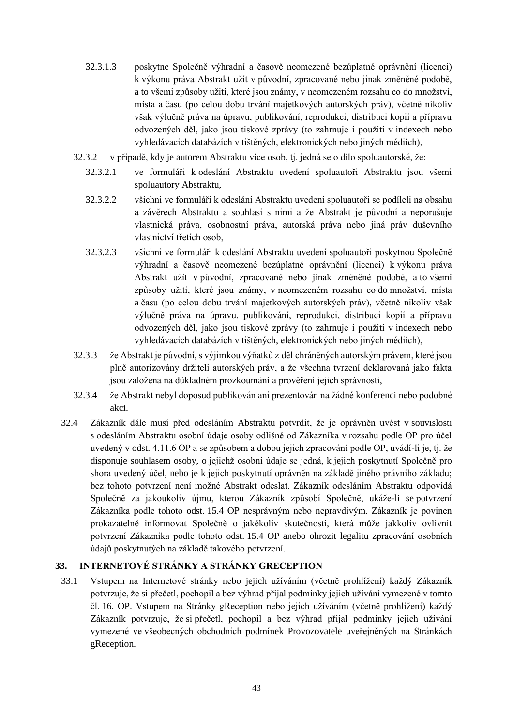- 32.3.1.3 poskytne Společně výhradní a časově neomezené bezúplatné oprávnění (licenci) k výkonu práva Abstrakt užít v původní, zpracované nebo jinak změněné podobě, a to všemi způsoby užití, které jsou známy, v neomezeném rozsahu co do množství, místa a času (po celou dobu trvání majetkových autorských práv), včetně nikoliv však výlučně práva na úpravu, publikování, reprodukci, distribuci kopií a přípravu odvozených děl, jako jsou tiskové zprávy (to zahrnuje i použití v indexech nebo vyhledávacích databázích v tištěných, elektronických nebo jiných médiích),
- 32.3.2 v případě, kdy je autorem Abstraktu více osob, tj. jedná se o dílo spoluautorské, že:
	- 32.3.2.1 ve formuláři k odeslání Abstraktu uvedení spoluautoři Abstraktu jsou všemi spoluautory Abstraktu,
	- 32.3.2.2 všichni ve formuláři k odeslání Abstraktu uvedení spoluautoři se podíleli na obsahu a závěrech Abstraktu a souhlasí s nimi a že Abstrakt je původní a neporušuje vlastnická práva, osobnostní práva, autorská práva nebo jiná práv duševního vlastnictví třetích osob,
	- 32.3.2.3 všichni ve formuláři k odeslání Abstraktu uvedení spoluautoři poskytnou Společně výhradní a časově neomezené bezúplatné oprávnění (licenci) k výkonu práva Abstrakt užít v původní, zpracované nebo jinak změněné podobě, a to všemi způsoby užití, které jsou známy, v neomezeném rozsahu co do množství, místa a času (po celou dobu trvání majetkových autorských práv), včetně nikoliv však výlučně práva na úpravu, publikování, reprodukci, distribuci kopií a přípravu odvozených děl, jako jsou tiskové zprávy (to zahrnuje i použití v indexech nebo vyhledávacích databázích v tištěných, elektronických nebo jiných médiích),
- 32.3.3 že Abstrakt je původní, s výjimkou výňatků z děl chráněných autorským právem, které jsou plně autorizovány držiteli autorských práv, a že všechna tvrzení deklarovaná jako fakta jsou založena na důkladném prozkoumání a prověření jejich správnosti,
- 32.3.4 že Abstrakt nebyl doposud publikován ani prezentován na žádné konferenci nebo podobné akci.
- 32.4 Zákazník dále musí před odesláním Abstraktu potvrdit, že je oprávněn uvést v souvislosti s odesláním Abstraktu osobní údaje osoby odlišné od Zákazníka v rozsahu podle OP pro účel uvedený v odst. 4.11.6 OP a se způsobem a dobou jejich zpracování podle OP, uvádí-li je, tj. že disponuje souhlasem osoby, o jejichž osobní údaje se jedná, k jejich poskytnutí Společně pro shora uvedený účel, nebo je k jejich poskytnutí oprávněn na základě jiného právního základu; bez tohoto potvrzení není možné Abstrakt odeslat. Zákazník odesláním Abstraktu odpovídá Společně za jakoukoliv újmu, kterou Zákazník způsobí Společně, ukáže-li se potvrzení Zákazníka podle tohoto odst. 15.4 OP nesprávným nebo nepravdivým. Zákazník je povinen prokazatelně informovat Společně o jakékoliv skutečnosti, která může jakkoliv ovlivnit potvrzení Zákazníka podle tohoto odst. 15.4 OP anebo ohrozit legalitu zpracování osobních údajů poskytnutých na základě takového potvrzení.

## **33. INTERNETOVÉ STRÁNKY A STRÁNKY GRECEPTION**

33.1 Vstupem na Internetové stránky nebo jejich užíváním (včetně prohlížení) každý Zákazník potvrzuje, že si přečetl, pochopil a bez výhrad přijal podmínky jejich užívání vymezené v tomto čl. 16. OP. Vstupem na Stránky gReception nebo jejich užíváním (včetně prohlížení) každý Zákazník potvrzuje, že si přečetl, pochopil a bez výhrad přijal podmínky jejich užívání vymezené ve všeobecných obchodních podmínek Provozovatele uveřejněných na Stránkách gReception.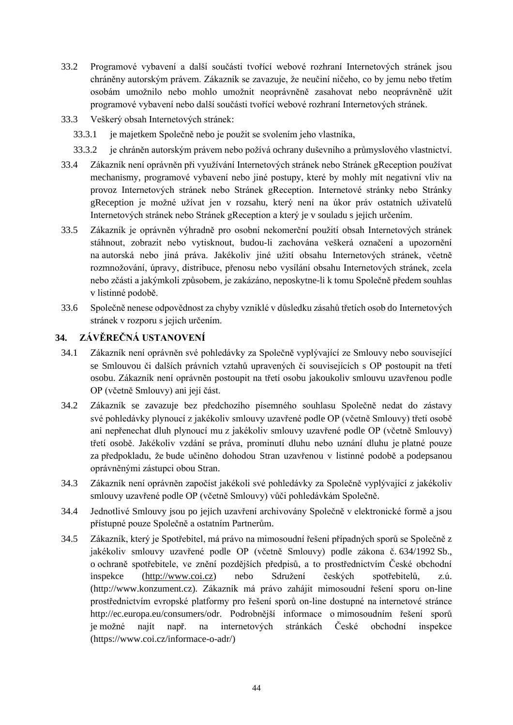- 33.2 Programové vybavení a další součásti tvořící webové rozhraní Internetových stránek jsou chráněny autorským právem. Zákazník se zavazuje, že neučiní ničeho, co by jemu nebo třetím osobám umožnilo nebo mohlo umožnit neoprávněně zasahovat nebo neoprávněně užít programové vybavení nebo další součásti tvořící webové rozhraní Internetových stránek.
- 33.3 Veškerý obsah Internetových stránek:
	- 33.3.1 je majetkem Společně nebo je použit se svolením jeho vlastníka,
	- 33.3.2 je chráněn autorským právem nebo požívá ochrany duševního a průmyslového vlastnictví.
- 33.4 Zákazník není oprávněn při využívání Internetových stránek nebo Stránek gReception používat mechanismy, programové vybavení nebo jiné postupy, které by mohly mít negativní vliv na provoz Internetových stránek nebo Stránek gReception. Internetové stránky nebo Stránky gReception je možné užívat jen v rozsahu, který není na úkor práv ostatních uživatelů Internetových stránek nebo Stránek gReception a který je v souladu s jejich určením.
- 33.5 Zákazník je oprávněn výhradně pro osobní nekomerční použití obsah Internetových stránek stáhnout, zobrazit nebo vytisknout, budou-li zachována veškerá označení a upozornění na autorská nebo jiná práva. Jakékoliv jiné užití obsahu Internetových stránek, včetně rozmnožování, úpravy, distribuce, přenosu nebo vysílání obsahu Internetových stránek, zcela nebo zčásti a jakýmkoli způsobem, je zakázáno, neposkytne-li k tomu Společně předem souhlas v listinné podobě.
- 33.6 Společně nenese odpovědnost za chyby vzniklé v důsledku zásahů třetích osob do Internetových stránek v rozporu s jejich určením.

# **34. ZÁVĚREČNÁ USTANOVENÍ**

- 34.1 Zákazník není oprávněn své pohledávky za Společně vyplývající ze Smlouvy nebo související se Smlouvou či dalších právních vztahů upravených či souvisejících s OP postoupit na třetí osobu. Zákazník není oprávněn postoupit na třetí osobu jakoukoliv smlouvu uzavřenou podle OP (včetně Smlouvy) ani její část.
- 34.2 Zákazník se zavazuje bez předchozího písemného souhlasu Společně nedat do zástavy své pohledávky plynoucí z jakékoliv smlouvy uzavřené podle OP (včetně Smlouvy) třetí osobě ani nepřenechat dluh plynoucí mu z jakékoliv smlouvy uzavřené podle OP (včetně Smlouvy) třetí osobě. Jakékoliv vzdání se práva, prominutí dluhu nebo uznání dluhu je platné pouze za předpokladu, že bude učiněno dohodou Stran uzavřenou v listinné podobě a podepsanou oprávněnými zástupci obou Stran.
- 34.3 Zákazník není oprávněn započíst jakékoli své pohledávky za Společně vyplývající z jakékoliv smlouvy uzavřené podle OP (včetně Smlouvy) vůči pohledávkám Společně.
- 34.4 Jednotlivé Smlouvy jsou po jejich uzavření archivovány Společně v elektronické formě a jsou přístupné pouze Společně a ostatním Partnerům.
- 34.5 Zákazník, který je Spotřebitel, má právo na mimosoudní řešení případných sporů se Společně z jakékoliv smlouvy uzavřené podle OP (včetně Smlouvy) podle zákona č. 634/1992 Sb., o ochraně spotřebitele, ve znění pozdějších předpisů, a to prostřednictvím České obchodní inspekce [\(http://www.coi.cz\)](http://www.coi.cz/) nebo Sdružení českých spotřebitelů, z.ú. [\(http://www.konzument.cz\)](http://www.konzument.cz/). Zákazník má právo zahájit mimosoudní řešení sporu on-line prostřednictvím evropské platformy pro řešení sporů on-line dostupné na internetové stránce [http://ec.europa.eu/consumers/odr.](http://ec.europa.eu/consumers/odr) Podrobnější informace o mimosoudním řešení sporů je možné najít např. na internetových stránkách České obchodní inspekce (https://www.coi.cz/informace-o-adr/)